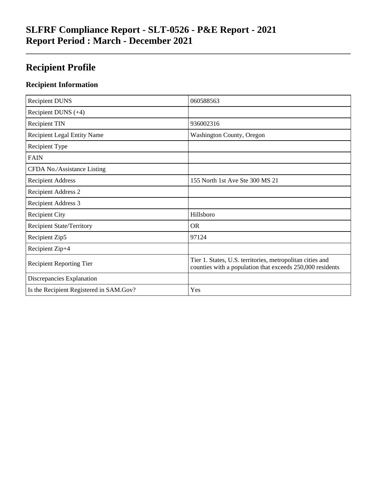# **SLFRF Compliance Report - SLT-0526 - P&E Report - 2021 Report Period : March - December 2021**

# **Recipient Profile**

## **Recipient Information**

| <b>Recipient DUNS</b>                   | 060588563                                                                                                              |
|-----------------------------------------|------------------------------------------------------------------------------------------------------------------------|
| Recipient DUNS $(+4)$                   |                                                                                                                        |
| <b>Recipient TIN</b>                    | 936002316                                                                                                              |
| <b>Recipient Legal Entity Name</b>      | <b>Washington County, Oregon</b>                                                                                       |
| Recipient Type                          |                                                                                                                        |
| <b>FAIN</b>                             |                                                                                                                        |
| CFDA No./Assistance Listing             |                                                                                                                        |
| <b>Recipient Address</b>                | 155 North 1st Ave Ste 300 MS 21                                                                                        |
| <b>Recipient Address 2</b>              |                                                                                                                        |
| Recipient Address 3                     |                                                                                                                        |
| <b>Recipient City</b>                   | Hillsboro                                                                                                              |
| <b>Recipient State/Territory</b>        | <b>OR</b>                                                                                                              |
| Recipient Zip5                          | 97124                                                                                                                  |
| Recipient Zip+4                         |                                                                                                                        |
| <b>Recipient Reporting Tier</b>         | Tier 1. States, U.S. territories, metropolitan cities and<br>counties with a population that exceeds 250,000 residents |
| Discrepancies Explanation               |                                                                                                                        |
| Is the Recipient Registered in SAM.Gov? | Yes                                                                                                                    |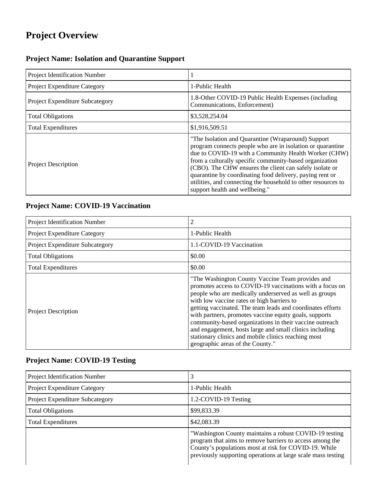# **Project Overview**

## **Project Name: Isolation and Quarantine Support**

| Project Identification Number          |                                                                                                                                                                                                                                                                                                                                                                                                                                                               |
|----------------------------------------|---------------------------------------------------------------------------------------------------------------------------------------------------------------------------------------------------------------------------------------------------------------------------------------------------------------------------------------------------------------------------------------------------------------------------------------------------------------|
| Project Expenditure Category           | 1-Public Health                                                                                                                                                                                                                                                                                                                                                                                                                                               |
| <b>Project Expenditure Subcategory</b> | 1.8-Other COVID-19 Public Health Expenses (including<br>Communications, Enforcement)                                                                                                                                                                                                                                                                                                                                                                          |
| <b>Total Obligations</b>               | \$3,528,254.04                                                                                                                                                                                                                                                                                                                                                                                                                                                |
| <b>Total Expenditures</b>              | \$1,916,509.51                                                                                                                                                                                                                                                                                                                                                                                                                                                |
| <b>Project Description</b>             | "The Isolation and Quarantine (Wraparound) Support<br>program connects people who are in isolation or quarantine<br>due to COVID-19 with a Community Health Worker (CHW)<br>from a culturally specific community-based organization<br>(CBO). The CHW ensures the client can safely isolate or<br>quarantine by coordinating food delivery, paying rent or<br>utilities, and connecting the household to other resources to<br>support health and wellbeing." |

### **Project Name: COVID-19 Vaccination**

| Project Identification Number   | 2                                                                                                                                                                                                                                                                                                                                                                                                                                                                                                                                                             |
|---------------------------------|---------------------------------------------------------------------------------------------------------------------------------------------------------------------------------------------------------------------------------------------------------------------------------------------------------------------------------------------------------------------------------------------------------------------------------------------------------------------------------------------------------------------------------------------------------------|
| Project Expenditure Category    | 1-Public Health                                                                                                                                                                                                                                                                                                                                                                                                                                                                                                                                               |
| Project Expenditure Subcategory | 1.1-COVID-19 Vaccination                                                                                                                                                                                                                                                                                                                                                                                                                                                                                                                                      |
| <b>Total Obligations</b>        | \$0.00                                                                                                                                                                                                                                                                                                                                                                                                                                                                                                                                                        |
| <b>Total Expenditures</b>       | \$0.00                                                                                                                                                                                                                                                                                                                                                                                                                                                                                                                                                        |
| <b>Project Description</b>      | "The Washington County Vaccine Team provides and<br>promotes access to COVID-19 vaccinations with a focus on<br>people who are medically underserved as well as groups<br>with low vaccine rates or high barriers to<br>getting vaccinated. The team leads and coordinates efforts<br>with partners, promotes vaccine equity goals, supports<br>community-based organizations in their vaccine outreach<br>and engagement, hosts large and small clinics including<br>stationary clinics and mobile clinics reaching most<br>geographic areas of the County." |

## **Project Name: COVID-19 Testing**

| <b>Project Identification Number</b>   |                                                                                                                                                                                                                                             |
|----------------------------------------|---------------------------------------------------------------------------------------------------------------------------------------------------------------------------------------------------------------------------------------------|
| <b>Project Expenditure Category</b>    | 1-Public Health                                                                                                                                                                                                                             |
| <b>Project Expenditure Subcategory</b> | 1.2-COVID-19 Testing                                                                                                                                                                                                                        |
| <b>Total Obligations</b>               | \$99,833.39                                                                                                                                                                                                                                 |
| <b>Total Expenditures</b>              | \$42,083.39                                                                                                                                                                                                                                 |
|                                        | "Washington County maintains a robust COVID-19 testing<br>program that aims to remove barriers to access among the<br>County's populations most at risk for COVID-19. While<br>previously supporting operations at large scale mass testing |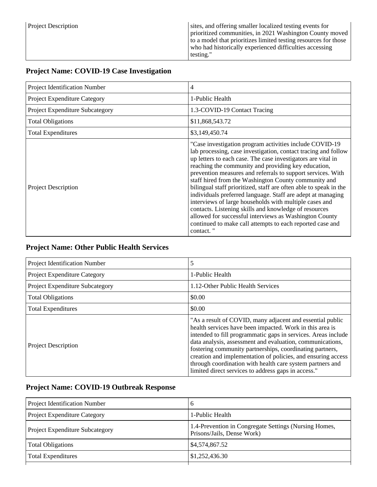| <b>Project Description</b> | sites, and offering smaller localized testing events for<br>prioritized communities, in 2021 Washington County moved<br>to a model that prioritizes limited testing resources for those<br>who had historically experienced difficulties accessing<br>testing." |
|----------------------------|-----------------------------------------------------------------------------------------------------------------------------------------------------------------------------------------------------------------------------------------------------------------|
|----------------------------|-----------------------------------------------------------------------------------------------------------------------------------------------------------------------------------------------------------------------------------------------------------------|

## **Project Name: COVID-19 Case Investigation**

| Project Identification Number   | 4                                                                                                                                                                                                                                                                                                                                                                                                                                                                                                                                                                                                                                                                                                                                                                   |
|---------------------------------|---------------------------------------------------------------------------------------------------------------------------------------------------------------------------------------------------------------------------------------------------------------------------------------------------------------------------------------------------------------------------------------------------------------------------------------------------------------------------------------------------------------------------------------------------------------------------------------------------------------------------------------------------------------------------------------------------------------------------------------------------------------------|
| Project Expenditure Category    | 1-Public Health                                                                                                                                                                                                                                                                                                                                                                                                                                                                                                                                                                                                                                                                                                                                                     |
| Project Expenditure Subcategory | 1.3-COVID-19 Contact Tracing                                                                                                                                                                                                                                                                                                                                                                                                                                                                                                                                                                                                                                                                                                                                        |
| <b>Total Obligations</b>        | \$11,868,543.72                                                                                                                                                                                                                                                                                                                                                                                                                                                                                                                                                                                                                                                                                                                                                     |
| <b>Total Expenditures</b>       | \$3,149,450.74                                                                                                                                                                                                                                                                                                                                                                                                                                                                                                                                                                                                                                                                                                                                                      |
| <b>Project Description</b>      | "Case investigation program activities include COVID-19"<br>lab processing, case investigation, contact tracing and follow<br>up letters to each case. The case investigators are vital in<br>reaching the community and providing key education,<br>prevention measures and referrals to support services. With<br>staff hired from the Washington County community and<br>bilingual staff prioritized, staff are often able to speak in the<br>individuals preferred language. Staff are adept at managing<br>interviews of large households with multiple cases and<br>contacts. Listening skills and knowledge of resources<br>allowed for successful interviews as Washington County<br>continued to make call attempts to each reported case and<br>contact." |

## **Project Name: Other Public Health Services**

| Project Identification Number       | 5                                                                                                                                                                                                                                                                                                                                                                                                                                                                                                   |
|-------------------------------------|-----------------------------------------------------------------------------------------------------------------------------------------------------------------------------------------------------------------------------------------------------------------------------------------------------------------------------------------------------------------------------------------------------------------------------------------------------------------------------------------------------|
| <b>Project Expenditure Category</b> | 1-Public Health                                                                                                                                                                                                                                                                                                                                                                                                                                                                                     |
| Project Expenditure Subcategory     | 1.12-Other Public Health Services                                                                                                                                                                                                                                                                                                                                                                                                                                                                   |
| <b>Total Obligations</b>            | \$0.00                                                                                                                                                                                                                                                                                                                                                                                                                                                                                              |
| <b>Total Expenditures</b>           | \$0.00                                                                                                                                                                                                                                                                                                                                                                                                                                                                                              |
| Project Description                 | "As a result of COVID, many adjacent and essential public<br>health services have been impacted. Work in this area is<br>intended to fill programmatic gaps in services. Areas include<br>data analysis, assessment and evaluation, communications,<br>fostering community partnerships, coordinating partners,<br>creation and implementation of policies, and ensuring access<br>through coordination with health care system partners and<br>limited direct services to address gaps in access." |

## **Project Name: COVID-19 Outbreak Response**

| Project Identification Number          | O                                                                                   |
|----------------------------------------|-------------------------------------------------------------------------------------|
| <b>Project Expenditure Category</b>    | 1-Public Health                                                                     |
| <b>Project Expenditure Subcategory</b> | 1.4-Prevention in Congregate Settings (Nursing Homes,<br>Prisons/Jails, Dense Work) |
| <b>Total Obligations</b>               | \$4,574,867.52                                                                      |
| <b>Total Expenditures</b>              | \$1,252,436.30                                                                      |
|                                        |                                                                                     |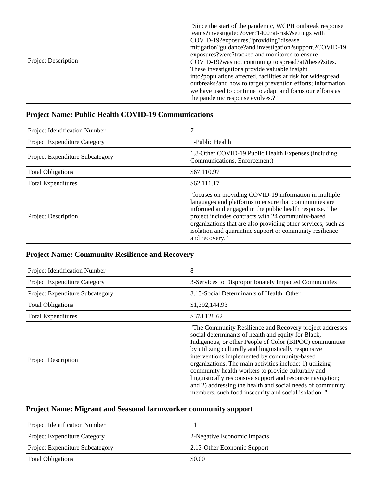| <b>Project Description</b> | "Since the start of the pandemic, WCPH outbreak response<br>teams?investigated?over?1400?at-risk?settings with<br>COVID-19? exposures, ? providing? disease<br>mitigation?guidance?and investigation?support.?COVID-19<br>exposures?were?tracked and monitored to ensure<br>COVID-19? was not continuing to spread?at?these?sites.<br>These investigations provide valuable insight<br>into?populations affected, facilities at risk for widespread<br>outbreaks?and how to target prevention efforts; information<br>we have used to continue to adapt and focus our efforts as<br>the pandemic response evolves.?" |
|----------------------------|----------------------------------------------------------------------------------------------------------------------------------------------------------------------------------------------------------------------------------------------------------------------------------------------------------------------------------------------------------------------------------------------------------------------------------------------------------------------------------------------------------------------------------------------------------------------------------------------------------------------|
|----------------------------|----------------------------------------------------------------------------------------------------------------------------------------------------------------------------------------------------------------------------------------------------------------------------------------------------------------------------------------------------------------------------------------------------------------------------------------------------------------------------------------------------------------------------------------------------------------------------------------------------------------------|

### **Project Name: Public Health COVID-19 Communications**

| Project Identification Number   |                                                                                                                                                                                                                                                                                                                                                                                  |
|---------------------------------|----------------------------------------------------------------------------------------------------------------------------------------------------------------------------------------------------------------------------------------------------------------------------------------------------------------------------------------------------------------------------------|
| Project Expenditure Category    | 1-Public Health                                                                                                                                                                                                                                                                                                                                                                  |
| Project Expenditure Subcategory | 1.8-Other COVID-19 Public Health Expenses (including<br>Communications, Enforcement)                                                                                                                                                                                                                                                                                             |
| <b>Total Obligations</b>        | \$67,110.97                                                                                                                                                                                                                                                                                                                                                                      |
| <b>Total Expenditures</b>       | \$62,111.17                                                                                                                                                                                                                                                                                                                                                                      |
| <b>Project Description</b>      | "focuses on providing COVID-19 information in multiple<br>languages and platforms to ensure that communities are<br>informed and engaged in the public health response. The<br>project includes contracts with 24 community-based<br>organizations that are also providing other services, such as<br>isolation and quarantine support or community resilience<br>and recovery.' |

### **Project Name: Community Resilience and Recovery**

| Project Identification Number   | 8                                                                                                                                                                                                                                                                                                                                                                                                                                                                                                                                                                                          |
|---------------------------------|--------------------------------------------------------------------------------------------------------------------------------------------------------------------------------------------------------------------------------------------------------------------------------------------------------------------------------------------------------------------------------------------------------------------------------------------------------------------------------------------------------------------------------------------------------------------------------------------|
| Project Expenditure Category    | 3-Services to Disproportionately Impacted Communities                                                                                                                                                                                                                                                                                                                                                                                                                                                                                                                                      |
| Project Expenditure Subcategory | 3.13-Social Determinants of Health: Other                                                                                                                                                                                                                                                                                                                                                                                                                                                                                                                                                  |
| <b>Total Obligations</b>        | \$1,392,144.93                                                                                                                                                                                                                                                                                                                                                                                                                                                                                                                                                                             |
| <b>Total Expenditures</b>       | \$378,128.62                                                                                                                                                                                                                                                                                                                                                                                                                                                                                                                                                                               |
| <b>Project Description</b>      | "The Community Resilience and Recovery project addresses<br>social determinants of health and equity for Black,<br>Indigenous, or other People of Color (BIPOC) communities<br>by utilizing culturally and linguistically responsive<br>interventions implemented by community-based<br>organizations. The main activities include: 1) utilizing<br>community health workers to provide culturally and<br>linguistically responsive support and resource navigation;<br>and 2) addressing the health and social needs of community<br>members, such food insecurity and social isolation." |

### **Project Name: Migrant and Seasonal farmworker community support**

| <b>Project Identification Number</b>   | 11                          |
|----------------------------------------|-----------------------------|
| <b>Project Expenditure Category</b>    | 2-Negative Economic Impacts |
| <b>Project Expenditure Subcategory</b> | 2.13-Other Economic Support |
| <b>Total Obligations</b>               | \$0.00                      |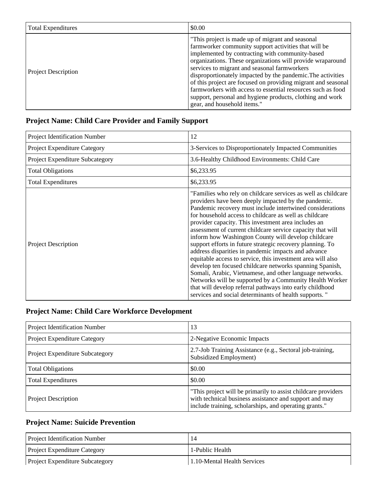| <b>Total Expenditures</b>  | \$0.00                                                                                                                                                                                                                                                                                                                                                                                                                                                                                                                                                                |
|----------------------------|-----------------------------------------------------------------------------------------------------------------------------------------------------------------------------------------------------------------------------------------------------------------------------------------------------------------------------------------------------------------------------------------------------------------------------------------------------------------------------------------------------------------------------------------------------------------------|
| <b>Project Description</b> | "This project is made up of migrant and seasonal"<br>farmworker community support activities that will be<br>implemented by contracting with community-based<br>organizations. These organizations will provide wraparound<br>services to migrant and seasonal farmworkers<br>disproportionately impacted by the pandemic. The activities<br>of this project are focused on providing migrant and seasonal<br>farmworkers with access to essential resources such as food<br>support, personal and hygiene products, clothing and work<br>gear, and household items." |

## **Project Name: Child Care Provider and Family Support**

| Project Identification Number   | 12                                                                                                                                                                                                                                                                                                                                                                                                                                                                                                                                                                                                                                                                                                                                                                                                                                                                                                                   |
|---------------------------------|----------------------------------------------------------------------------------------------------------------------------------------------------------------------------------------------------------------------------------------------------------------------------------------------------------------------------------------------------------------------------------------------------------------------------------------------------------------------------------------------------------------------------------------------------------------------------------------------------------------------------------------------------------------------------------------------------------------------------------------------------------------------------------------------------------------------------------------------------------------------------------------------------------------------|
| Project Expenditure Category    | 3-Services to Disproportionately Impacted Communities                                                                                                                                                                                                                                                                                                                                                                                                                                                                                                                                                                                                                                                                                                                                                                                                                                                                |
| Project Expenditure Subcategory | 3.6-Healthy Childhood Environments: Child Care                                                                                                                                                                                                                                                                                                                                                                                                                                                                                                                                                                                                                                                                                                                                                                                                                                                                       |
| <b>Total Obligations</b>        | \$6,233.95                                                                                                                                                                                                                                                                                                                                                                                                                                                                                                                                                                                                                                                                                                                                                                                                                                                                                                           |
| <b>Total Expenditures</b>       | \$6,233.95                                                                                                                                                                                                                                                                                                                                                                                                                                                                                                                                                                                                                                                                                                                                                                                                                                                                                                           |
| <b>Project Description</b>      | "Families who rely on childcare services as well as childcare<br>providers have been deeply impacted by the pandemic.<br>Pandemic recovery must include intertwined considerations<br>for household access to childcare as well as childcare<br>provider capacity. This investment area includes an<br>assessment of current childcare service capacity that will<br>inform how Washington County will develop childcare<br>support efforts in future strategic recovery planning. To<br>address disparities in pandemic impacts and advance<br>equitable access to service, this investment area will also<br>develop ten focused childcare networks spanning Spanish,<br>Somali, Arabic, Vietnamese, and other language networks.<br>Networks will be supported by a Community Health Worker<br>that will develop referral pathways into early childhood<br>services and social determinants of health supports. " |

### **Project Name: Child Care Workforce Development**

| Project Identification Number          | 13                                                                                                                                                                                |
|----------------------------------------|-----------------------------------------------------------------------------------------------------------------------------------------------------------------------------------|
| Project Expenditure Category           | 2-Negative Economic Impacts                                                                                                                                                       |
| <b>Project Expenditure Subcategory</b> | 2.7-Job Training Assistance (e.g., Sectoral job-training,<br>Subsidized Employment)                                                                                               |
| <b>Total Obligations</b>               | \$0.00                                                                                                                                                                            |
| <b>Total Expenditures</b>              | \$0.00                                                                                                                                                                            |
| Project Description                    | "This project will be primarily to assist childcare providers<br>with technical business assistance and support and may<br>include training, scholarships, and operating grants." |

## **Project Name: Suicide Prevention**

| <b>Project Identification Number</b>   |                             |
|----------------------------------------|-----------------------------|
| <b>Project Expenditure Category</b>    | 1-Public Health             |
| <b>Project Expenditure Subcategory</b> | 1.10-Mental Health Services |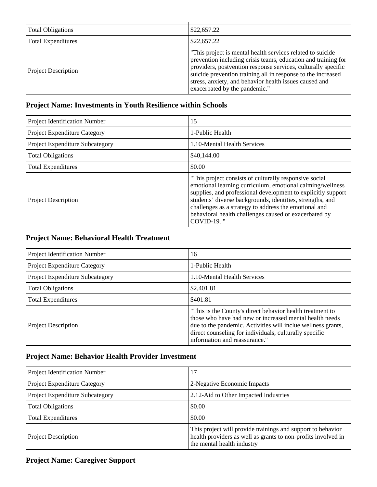| <b>Total Obligations</b>   | \$22,657.22                                                                                                                                                                                                                                                                                                                                             |
|----------------------------|---------------------------------------------------------------------------------------------------------------------------------------------------------------------------------------------------------------------------------------------------------------------------------------------------------------------------------------------------------|
| <b>Total Expenditures</b>  | \$22,657.22                                                                                                                                                                                                                                                                                                                                             |
| <b>Project Description</b> | "This project is mental health services related to suicide<br>prevention including crisis teams, education and training for<br>providers, postvention response services, culturally specific<br>suicide prevention training all in response to the increased<br>stress, anxiety, and behavior health issues caused and<br>exacerbated by the pandemic." |

### **Project Name: Investments in Youth Resilience within Schools**

| Project Identification Number   | 15                                                                                                                                                                                                                                                                                                                                                                                       |
|---------------------------------|------------------------------------------------------------------------------------------------------------------------------------------------------------------------------------------------------------------------------------------------------------------------------------------------------------------------------------------------------------------------------------------|
| Project Expenditure Category    | 1-Public Health                                                                                                                                                                                                                                                                                                                                                                          |
| Project Expenditure Subcategory | 1.10-Mental Health Services                                                                                                                                                                                                                                                                                                                                                              |
| <b>Total Obligations</b>        | \$40,144.00                                                                                                                                                                                                                                                                                                                                                                              |
| <b>Total Expenditures</b>       | \$0.00                                                                                                                                                                                                                                                                                                                                                                                   |
| <b>Project Description</b>      | "This project consists of culturally responsive social<br>emotional learning curriculum, emotional calming/wellness<br>supplies, and professional development to explicitly support<br>students' diverse backgrounds, identities, strengths, and<br>challenges as a strategy to address the emotional and<br>behavioral health challenges caused or exacerbated by<br><b>COVID-19.</b> " |

## **Project Name: Behavioral Health Treatment**

| Project Identification Number   | 16                                                                                                                                                                                                                                                                              |
|---------------------------------|---------------------------------------------------------------------------------------------------------------------------------------------------------------------------------------------------------------------------------------------------------------------------------|
| Project Expenditure Category    | 1-Public Health                                                                                                                                                                                                                                                                 |
| Project Expenditure Subcategory | 1.10-Mental Health Services                                                                                                                                                                                                                                                     |
| <b>Total Obligations</b>        | \$2,401.81                                                                                                                                                                                                                                                                      |
| <b>Total Expenditures</b>       | \$401.81                                                                                                                                                                                                                                                                        |
| <b>Project Description</b>      | "This is the County's direct behavior health treatment to<br>those who have had new or increased mental health needs<br>due to the pandemic. Activities will inclue wellness grants,<br>direct counseling for individuals, culturally specific<br>information and reassurance." |

### **Project Name: Behavior Health Provider Investment**

| Project Identification Number   | 17                                                                                                                                                         |
|---------------------------------|------------------------------------------------------------------------------------------------------------------------------------------------------------|
| Project Expenditure Category    | 2-Negative Economic Impacts                                                                                                                                |
| Project Expenditure Subcategory | 2.12-Aid to Other Impacted Industries                                                                                                                      |
| <b>Total Obligations</b>        | \$0.00                                                                                                                                                     |
| <b>Total Expenditures</b>       | \$0.00                                                                                                                                                     |
| <b>Project Description</b>      | This project will provide trainings and support to behavior<br>health providers as well as grants to non-profits involved in<br>the mental health industry |

## **Project Name: Caregiver Support**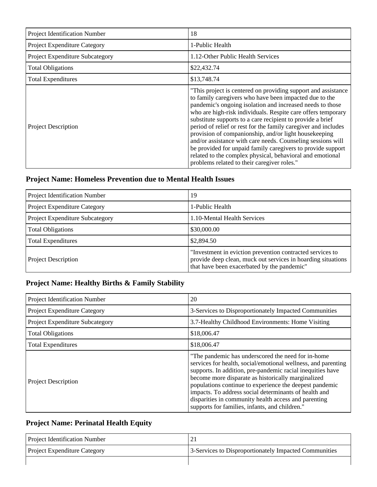| Project Identification Number   | 18                                                                                                                                                                                                                                                                                                                                                                                                                                                                                                                                                                                                                                                                                      |
|---------------------------------|-----------------------------------------------------------------------------------------------------------------------------------------------------------------------------------------------------------------------------------------------------------------------------------------------------------------------------------------------------------------------------------------------------------------------------------------------------------------------------------------------------------------------------------------------------------------------------------------------------------------------------------------------------------------------------------------|
| Project Expenditure Category    | 1-Public Health                                                                                                                                                                                                                                                                                                                                                                                                                                                                                                                                                                                                                                                                         |
| Project Expenditure Subcategory | 1.12-Other Public Health Services                                                                                                                                                                                                                                                                                                                                                                                                                                                                                                                                                                                                                                                       |
| <b>Total Obligations</b>        | \$22,432.74                                                                                                                                                                                                                                                                                                                                                                                                                                                                                                                                                                                                                                                                             |
| <b>Total Expenditures</b>       | \$13,748.74                                                                                                                                                                                                                                                                                                                                                                                                                                                                                                                                                                                                                                                                             |
| <b>Project Description</b>      | "This project is centered on providing support and assistance<br>to family caregivers who have been impacted due to the<br>pandemic's ongoing isolation and increased needs to those<br>who are high-risk individuals. Respite care offers temporary<br>substitute supports to a care recipient to provide a brief<br>period of relief or rest for the family caregiver and includes<br>provision of companionship, and/or light housekeeping<br>and/or assistance with care needs. Counseling sessions will<br>be provided for unpaid family caregivers to provide support<br>related to the complex physical, behavioral and emotional<br>problems related to their caregiver roles." |

### **Project Name: Homeless Prevention due to Mental Health Issues**

| Project Identification Number   | 19                                                                                                                                                                       |
|---------------------------------|--------------------------------------------------------------------------------------------------------------------------------------------------------------------------|
| Project Expenditure Category    | 1-Public Health                                                                                                                                                          |
| Project Expenditure Subcategory | 1.10-Mental Health Services                                                                                                                                              |
| <b>Total Obligations</b>        | \$30,000.00                                                                                                                                                              |
| <b>Total Expenditures</b>       | \$2,894.50                                                                                                                                                               |
| <b>Project Description</b>      | "Investment in eviction prevention contracted services to<br>provide deep clean, muck out services in hoarding situations<br>that have been exacerbated by the pandemic" |

## **Project Name: Healthy Births & Family Stability**

| Project Identification Number   | 20                                                                                                                                                                                                                                                                                                                                                                                                                                                                     |
|---------------------------------|------------------------------------------------------------------------------------------------------------------------------------------------------------------------------------------------------------------------------------------------------------------------------------------------------------------------------------------------------------------------------------------------------------------------------------------------------------------------|
| Project Expenditure Category    | 3-Services to Disproportionately Impacted Communities                                                                                                                                                                                                                                                                                                                                                                                                                  |
| Project Expenditure Subcategory | 3.7-Healthy Childhood Environments: Home Visiting                                                                                                                                                                                                                                                                                                                                                                                                                      |
| <b>Total Obligations</b>        | \$18,006.47                                                                                                                                                                                                                                                                                                                                                                                                                                                            |
| <b>Total Expenditures</b>       | \$18,006.47                                                                                                                                                                                                                                                                                                                                                                                                                                                            |
| <b>Project Description</b>      | "The pandemic has underscored the need for in-home"<br>services for health, social/emotional wellness, and parenting<br>supports. In addition, pre-pandemic racial inequities have<br>become more disparate as historically marginalized<br>populations continue to experience the deepest pandemic<br>impacts. To address social determinants of health and<br>disparities in community health access and parenting<br>supports for families, infants, and children." |

## **Project Name: Perinatal Health Equity**

| <b>Project Identification Number</b> |                                                       |
|--------------------------------------|-------------------------------------------------------|
| <b>Project Expenditure Category</b>  | 3-Services to Disproportionately Impacted Communities |
|                                      |                                                       |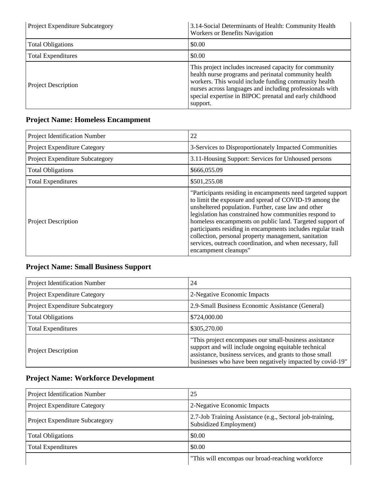| <b>Project Expenditure Subcategory</b> | 3.14-Social Determinants of Health: Community Health<br>Workers or Benefits Navigation                                                                                                                                                                                                                    |
|----------------------------------------|-----------------------------------------------------------------------------------------------------------------------------------------------------------------------------------------------------------------------------------------------------------------------------------------------------------|
| <b>Total Obligations</b>               | \$0.00                                                                                                                                                                                                                                                                                                    |
| <b>Total Expenditures</b>              | \$0.00                                                                                                                                                                                                                                                                                                    |
| <b>Project Description</b>             | This project includes increased capacity for community<br>health nurse programs and perinatal community health<br>workers. This would include funding community health<br>nurses across languages and including professionals with<br>special expertise in BIPOC prenatal and early childhood<br>support. |

## **Project Name: Homeless Encampment**

| Project Identification Number   | 22                                                                                                                                                                                                                                                                                                                                                                                                                                                                                                             |
|---------------------------------|----------------------------------------------------------------------------------------------------------------------------------------------------------------------------------------------------------------------------------------------------------------------------------------------------------------------------------------------------------------------------------------------------------------------------------------------------------------------------------------------------------------|
| Project Expenditure Category    | 3-Services to Disproportionately Impacted Communities                                                                                                                                                                                                                                                                                                                                                                                                                                                          |
| Project Expenditure Subcategory | 3.11-Housing Support: Services for Unhoused persons                                                                                                                                                                                                                                                                                                                                                                                                                                                            |
| <b>Total Obligations</b>        | \$666,055.09                                                                                                                                                                                                                                                                                                                                                                                                                                                                                                   |
| <b>Total Expenditures</b>       | \$501,255.08                                                                                                                                                                                                                                                                                                                                                                                                                                                                                                   |
| <b>Project Description</b>      | "Participants residing in encampments need targeted support<br>to limit the exposure and spread of COVID-19 among the<br>unsheltered population. Further, case law and other<br>legislation has constrained how communities respond to<br>homeless encampments on public land. Targeted support of<br>participants residing in encampments includes regular trash<br>collection, personal property management, sanitation<br>services, outreach coordination, and when necessary, full<br>encampment cleanups" |

## **Project Name: Small Business Support**

| Project Identification Number   | 24                                                                                                                                                                                                                                       |
|---------------------------------|------------------------------------------------------------------------------------------------------------------------------------------------------------------------------------------------------------------------------------------|
| Project Expenditure Category    | 2-Negative Economic Impacts                                                                                                                                                                                                              |
| Project Expenditure Subcategory | 2.9-Small Business Economic Assistance (General)                                                                                                                                                                                         |
| <b>Total Obligations</b>        | \$724,000.00                                                                                                                                                                                                                             |
| <b>Total Expenditures</b>       | \$305,270.00                                                                                                                                                                                                                             |
| <b>Project Description</b>      | "This project encompases our small-business assistance"<br>support and will include ongoing equitable technical<br>assistance, business services, and grants to those small<br>businesses who have been negatively impacted by covid-19" |

## **Project Name: Workforce Development**

| Project Identification Number          | 25                                                                                          |
|----------------------------------------|---------------------------------------------------------------------------------------------|
| Project Expenditure Category           | 2-Negative Economic Impacts                                                                 |
| <b>Project Expenditure Subcategory</b> | 2.7-Job Training Assistance (e.g., Sectoral job-training,<br><b>Subsidized Employment</b> ) |
| <b>Total Obligations</b>               | \$0.00                                                                                      |
| <b>Total Expenditures</b>              | \$0.00                                                                                      |
|                                        | "This will encompas our broad-reaching workforce"                                           |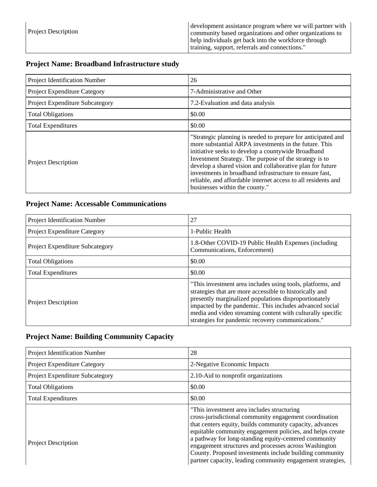### **Project Name: Broadband Infrastructure study**

| Project Identification Number   | 26                                                                                                                                                                                                                                                                                                                                                                                                                                                               |
|---------------------------------|------------------------------------------------------------------------------------------------------------------------------------------------------------------------------------------------------------------------------------------------------------------------------------------------------------------------------------------------------------------------------------------------------------------------------------------------------------------|
| Project Expenditure Category    | 7-Administrative and Other                                                                                                                                                                                                                                                                                                                                                                                                                                       |
| Project Expenditure Subcategory | 7.2-Evaluation and data analysis                                                                                                                                                                                                                                                                                                                                                                                                                                 |
| <b>Total Obligations</b>        | \$0.00                                                                                                                                                                                                                                                                                                                                                                                                                                                           |
| <b>Total Expenditures</b>       | \$0.00                                                                                                                                                                                                                                                                                                                                                                                                                                                           |
| <b>Project Description</b>      | "Strategic planning is needed to prepare for anticipated and<br>more substantial ARPA investments in the future. This<br>initiative seeks to develop a countywide Broadband<br>Investment Strategy. The purpose of the strategy is to<br>develop a shared vision and collaborative plan for future<br>investments in broadband infrastructure to ensure fast,<br>reliable, and affordable internet access to all residents and<br>businesses within the county." |

### **Project Name: Accessable Communications**

| Project Identification Number          | 27                                                                                                                                                                                                                                                                                                                                                           |
|----------------------------------------|--------------------------------------------------------------------------------------------------------------------------------------------------------------------------------------------------------------------------------------------------------------------------------------------------------------------------------------------------------------|
| Project Expenditure Category           | 1-Public Health                                                                                                                                                                                                                                                                                                                                              |
| <b>Project Expenditure Subcategory</b> | 1.8-Other COVID-19 Public Health Expenses (including<br>Communications, Enforcement)                                                                                                                                                                                                                                                                         |
| <b>Total Obligations</b>               | \$0.00                                                                                                                                                                                                                                                                                                                                                       |
| <b>Total Expenditures</b>              | \$0.00                                                                                                                                                                                                                                                                                                                                                       |
| <b>Project Description</b>             | "This investment area includes using tools, platforms, and<br>strategies that are more accessible to historically and<br>presently marginalized populations disproportionately<br>impacted by the pandemic. This includes advanced social<br>media and video streaming content with culturally specific<br>strategies for pandemic recovery communications." |

### **Project Name: Building Community Capacity**

| Project Identification Number   | 28                                                                                                                                                                                                                                                                                                                                                                                                                                                                       |
|---------------------------------|--------------------------------------------------------------------------------------------------------------------------------------------------------------------------------------------------------------------------------------------------------------------------------------------------------------------------------------------------------------------------------------------------------------------------------------------------------------------------|
| Project Expenditure Category    | 2-Negative Economic Impacts                                                                                                                                                                                                                                                                                                                                                                                                                                              |
| Project Expenditure Subcategory | 2.10-Aid to nonprofit organizations                                                                                                                                                                                                                                                                                                                                                                                                                                      |
| <b>Total Obligations</b>        | \$0.00                                                                                                                                                                                                                                                                                                                                                                                                                                                                   |
| <b>Total Expenditures</b>       | \$0.00                                                                                                                                                                                                                                                                                                                                                                                                                                                                   |
| <b>Project Description</b>      | "This investment area includes structuring<br>cross-jurisdictional community engagement coordination<br>that centers equity, builds community capacity, advances<br>equitable community engagement policies, and helps create<br>a pathway for long-standing equity-centered community<br>engagement structures and processes across Washington<br>County. Proposed investments include building community<br>partner capacity, leading community engagement strategies, |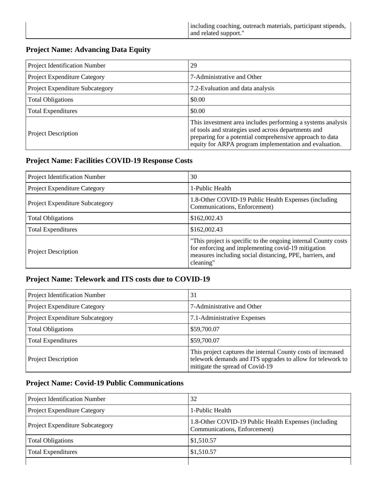### **Project Name: Advancing Data Equity**

| Project Identification Number   | 29                                                                                                                                                                                                                                       |
|---------------------------------|------------------------------------------------------------------------------------------------------------------------------------------------------------------------------------------------------------------------------------------|
| Project Expenditure Category    | 7-Administrative and Other                                                                                                                                                                                                               |
| Project Expenditure Subcategory | 7.2-Evaluation and data analysis                                                                                                                                                                                                         |
| <b>Total Obligations</b>        | \$0.00                                                                                                                                                                                                                                   |
| <b>Total Expenditures</b>       | \$0.00                                                                                                                                                                                                                                   |
| <b>Project Description</b>      | This investment area includes performing a systems analysis<br>of tools and strategies used across departments and<br>preparing for a potential comprehensive approach to data<br>equity for ARPA program implementation and evaluation. |

### **Project Name: Facilities COVID-19 Response Costs**

| Project Identification Number       | 30                                                                                                                                                                                            |
|-------------------------------------|-----------------------------------------------------------------------------------------------------------------------------------------------------------------------------------------------|
| <b>Project Expenditure Category</b> | 1-Public Health                                                                                                                                                                               |
| Project Expenditure Subcategory     | 1.8-Other COVID-19 Public Health Expenses (including<br>Communications, Enforcement)                                                                                                          |
| <b>Total Obligations</b>            | \$162,002.43                                                                                                                                                                                  |
| <b>Total Expenditures</b>           | \$162,002.43                                                                                                                                                                                  |
| <b>Project Description</b>          | "This project is specific to the ongoing internal County costs<br>for enforcing and implementing covid-19 mitigation<br>measures including social distancing, PPE, barriers, and<br>cleaning" |

### **Project Name: Telework and ITS costs due to COVID-19**

| Project Identification Number   | 31                                                                                                                                                            |
|---------------------------------|---------------------------------------------------------------------------------------------------------------------------------------------------------------|
| Project Expenditure Category    | 7-Administrative and Other                                                                                                                                    |
| Project Expenditure Subcategory | 7.1-Administrative Expenses                                                                                                                                   |
| <b>Total Obligations</b>        | \$59,700.07                                                                                                                                                   |
| <b>Total Expenditures</b>       | \$59,700.07                                                                                                                                                   |
| <b>Project Description</b>      | This project captures the internal County costs of increased<br>telework demands and ITS upgrades to allow for telework to<br>mitigate the spread of Covid-19 |

### **Project Name: Covid-19 Public Communications**

| <b>Project Identification Number</b>   | 32                                                                                   |
|----------------------------------------|--------------------------------------------------------------------------------------|
| <b>Project Expenditure Category</b>    | 1-Public Health                                                                      |
| <b>Project Expenditure Subcategory</b> | 1.8-Other COVID-19 Public Health Expenses (including<br>Communications, Enforcement) |
| <b>Total Obligations</b>               | \$1,510.57                                                                           |
| <b>Total Expenditures</b>              | \$1,510.57                                                                           |
|                                        |                                                                                      |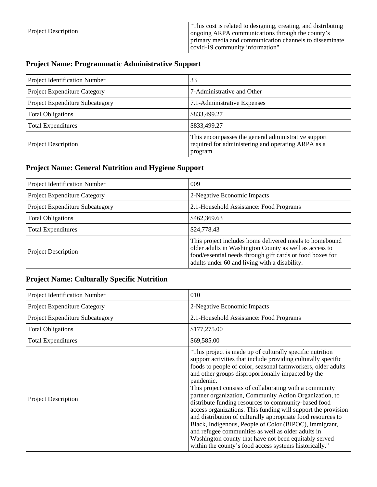| <b>Project Description</b> | "This cost is related to designing, creating, and distributing<br>ongoing ARPA communications through the county's |
|----------------------------|--------------------------------------------------------------------------------------------------------------------|
|                            | primary media and communication channels to disseminate<br>  covid-19 community information"                       |

## **Project Name: Programmatic Administrative Support**

| Project Identification Number   | 33                                                                                                                   |
|---------------------------------|----------------------------------------------------------------------------------------------------------------------|
| Project Expenditure Category    | 7-Administrative and Other                                                                                           |
| Project Expenditure Subcategory | 7.1-Administrative Expenses                                                                                          |
| <b>Total Obligations</b>        | \$833,499.27                                                                                                         |
| <b>Total Expenditures</b>       | \$833,499.27                                                                                                         |
| <b>Project Description</b>      | This encompasses the general administrative support<br>required for administering and operating ARPA as a<br>program |

## **Project Name: General Nutrition and Hygiene Support**

| Project Identification Number   | 009                                                                                                                                                                                                                             |
|---------------------------------|---------------------------------------------------------------------------------------------------------------------------------------------------------------------------------------------------------------------------------|
| Project Expenditure Category    | 2-Negative Economic Impacts                                                                                                                                                                                                     |
| Project Expenditure Subcategory | 2.1-Household Assistance: Food Programs                                                                                                                                                                                         |
| <b>Total Obligations</b>        | \$462,369.63                                                                                                                                                                                                                    |
| <b>Total Expenditures</b>       | \$24,778.43                                                                                                                                                                                                                     |
| Project Description             | This project includes home delivered meals to homebound<br>older adults in Washington County as well as access to<br>food/essential needs through gift cards or food boxes for<br>adults under 60 and living with a disability. |

## **Project Name: Culturally Specific Nutrition**

| Project Identification Number       | 010                                                                                                                                                                                                                                                                                                                                                                                                                                                                                                                                                                                                                                                                                                                                                                                                              |
|-------------------------------------|------------------------------------------------------------------------------------------------------------------------------------------------------------------------------------------------------------------------------------------------------------------------------------------------------------------------------------------------------------------------------------------------------------------------------------------------------------------------------------------------------------------------------------------------------------------------------------------------------------------------------------------------------------------------------------------------------------------------------------------------------------------------------------------------------------------|
| <b>Project Expenditure Category</b> | 2-Negative Economic Impacts                                                                                                                                                                                                                                                                                                                                                                                                                                                                                                                                                                                                                                                                                                                                                                                      |
| Project Expenditure Subcategory     | 2.1-Household Assistance: Food Programs                                                                                                                                                                                                                                                                                                                                                                                                                                                                                                                                                                                                                                                                                                                                                                          |
| <b>Total Obligations</b>            | \$177,275.00                                                                                                                                                                                                                                                                                                                                                                                                                                                                                                                                                                                                                                                                                                                                                                                                     |
| <b>Total Expenditures</b>           | \$69,585.00                                                                                                                                                                                                                                                                                                                                                                                                                                                                                                                                                                                                                                                                                                                                                                                                      |
| <b>Project Description</b>          | "This project is made up of culturally specific nutrition"<br>support activities that include providing culturally specific<br>foods to people of color, seasonal farmworkers, older adults<br>and other groups disproportionally impacted by the<br>pandemic.<br>This project consists of collaborating with a community<br>partner organization, Community Action Organization, to<br>distribute funding resources to community-based food<br>access organizations. This funding will support the provision<br>and distribution of culturally appropriate food resources to<br>Black, Indigenous, People of Color (BIPOC), immigrant,<br>and refugee communities as well as older adults in<br>Washington county that have not been equitably served<br>within the county's food access systems historically." |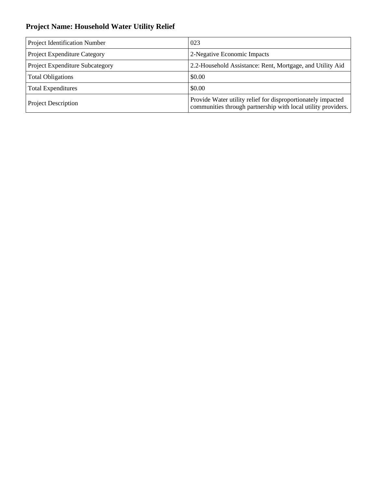## **Project Name: Household Water Utility Relief**

| Project Identification Number   | 023                                                                                                                           |
|---------------------------------|-------------------------------------------------------------------------------------------------------------------------------|
| Project Expenditure Category    | 2-Negative Economic Impacts                                                                                                   |
| Project Expenditure Subcategory | 2.2-Household Assistance: Rent, Mortgage, and Utility Aid                                                                     |
| <b>Total Obligations</b>        | \$0.00                                                                                                                        |
| <b>Total Expenditures</b>       | \$0.00                                                                                                                        |
| <b>Project Description</b>      | Provide Water utility relief for disproportionately impacted<br>communities through partnership with local utility providers. |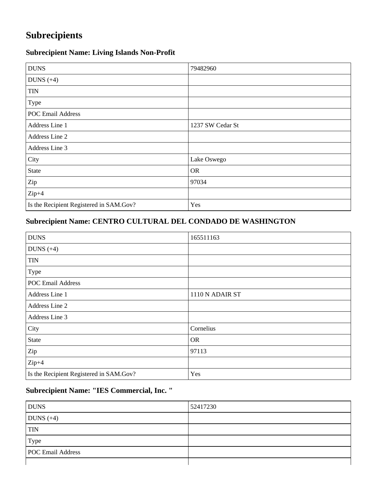# **Subrecipients**

## **Subrecipient Name: Living Islands Non-Profit**

| <b>DUNS</b>                             | 79482960         |
|-----------------------------------------|------------------|
| DUNS $(+4)$                             |                  |
| <b>TIN</b>                              |                  |
| Type                                    |                  |
| <b>POC Email Address</b>                |                  |
| Address Line 1                          | 1237 SW Cedar St |
| Address Line 2                          |                  |
| Address Line 3                          |                  |
| City                                    | Lake Oswego      |
| <b>State</b>                            | <b>OR</b>        |
| Zip                                     | 97034            |
| $Zip+4$                                 |                  |
| Is the Recipient Registered in SAM.Gov? | Yes              |

## **Subrecipient Name: CENTRO CULTURAL DEL CONDADO DE WASHINGTON**

| <b>DUNS</b>                             | 165511163       |
|-----------------------------------------|-----------------|
| DUNS $(+4)$                             |                 |
| <b>TIN</b>                              |                 |
| Type                                    |                 |
| <b>POC Email Address</b>                |                 |
| Address Line 1                          | 1110 N ADAIR ST |
| Address Line 2                          |                 |
| Address Line 3                          |                 |
| City                                    | Cornelius       |
| State                                   | <b>OR</b>       |
| Zip                                     | 97113           |
| $Zip+4$                                 |                 |
| Is the Recipient Registered in SAM.Gov? | Yes             |

## **Subrecipient Name: "IES Commercial, Inc. "**

| <b>DUNS</b>              | 52417230 |
|--------------------------|----------|
| DUNS $(+4)$              |          |
| <b>TIN</b>               |          |
| Type                     |          |
| <b>POC Email Address</b> |          |
|                          |          |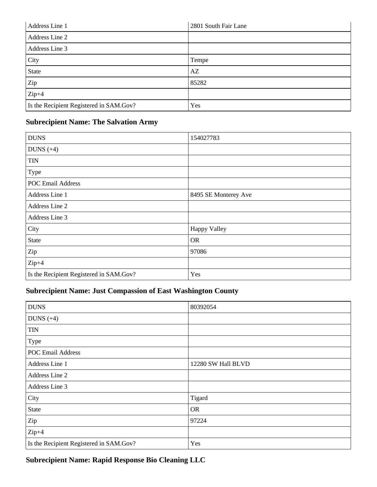| Address Line 1                          | 2801 South Fair Lane |
|-----------------------------------------|----------------------|
| Address Line 2                          |                      |
| Address Line 3                          |                      |
| City                                    | Tempe                |
| State                                   | AZ                   |
| Zip                                     | 85282                |
| $Zip+4$                                 |                      |
| Is the Recipient Registered in SAM.Gov? | Yes                  |

### **Subrecipient Name: The Salvation Army**

| <b>DUNS</b>                             | 154027783            |
|-----------------------------------------|----------------------|
| DUNS $(+4)$                             |                      |
| <b>TIN</b>                              |                      |
| Type                                    |                      |
| <b>POC Email Address</b>                |                      |
| Address Line 1                          | 8495 SE Monterey Ave |
| Address Line 2                          |                      |
| Address Line 3                          |                      |
| City                                    | <b>Happy Valley</b>  |
| <b>State</b>                            | <b>OR</b>            |
| Zip                                     | 97086                |
| $Zip+4$                                 |                      |
| Is the Recipient Registered in SAM.Gov? | Yes                  |

## **Subrecipient Name: Just Compassion of East Washington County**

| <b>DUNS</b>                             | 80392054           |
|-----------------------------------------|--------------------|
| DUNS $(+4)$                             |                    |
| <b>TIN</b>                              |                    |
| Type                                    |                    |
| <b>POC Email Address</b>                |                    |
| Address Line 1                          | 12280 SW Hall BLVD |
| Address Line 2                          |                    |
| Address Line 3                          |                    |
| City                                    | Tigard             |
| <b>State</b>                            | <b>OR</b>          |
| Zip                                     | 97224              |
| $Zip+4$                                 |                    |
| Is the Recipient Registered in SAM.Gov? | Yes                |

## **Subrecipient Name: Rapid Response Bio Cleaning LLC**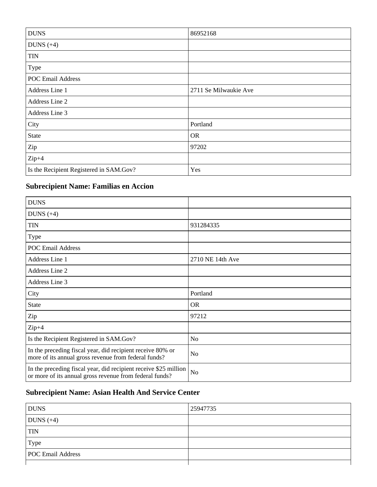| <b>DUNS</b>                             | 86952168              |
|-----------------------------------------|-----------------------|
| DUNS $(+4)$                             |                       |
| <b>TIN</b>                              |                       |
| Type                                    |                       |
| <b>POC Email Address</b>                |                       |
| Address Line 1                          | 2711 Se Milwaukie Ave |
| Address Line 2                          |                       |
| Address Line 3                          |                       |
| City                                    | Portland              |
| <b>State</b>                            | <b>OR</b>             |
| Zip                                     | 97202                 |
| $Zip+4$                                 |                       |
| Is the Recipient Registered in SAM.Gov? | Yes                   |

## **Subrecipient Name: Familias en Accion**

| <b>DUNS</b>                                                                                                                 |                  |
|-----------------------------------------------------------------------------------------------------------------------------|------------------|
| DUNS $(+4)$                                                                                                                 |                  |
| <b>TIN</b>                                                                                                                  | 931284335        |
| <b>Type</b>                                                                                                                 |                  |
| <b>POC Email Address</b>                                                                                                    |                  |
| Address Line 1                                                                                                              | 2710 NE 14th Ave |
| Address Line 2                                                                                                              |                  |
| Address Line 3                                                                                                              |                  |
| City                                                                                                                        | Portland         |
| <b>State</b>                                                                                                                | <b>OR</b>        |
| Zip                                                                                                                         | 97212            |
| $Zip+4$                                                                                                                     |                  |
| Is the Recipient Registered in SAM.Gov?                                                                                     | N <sub>o</sub>   |
| In the preceding fiscal year, did recipient receive 80% or<br>more of its annual gross revenue from federal funds?          | N <sub>o</sub>   |
| In the preceding fiscal year, did recipient receive \$25 million<br>or more of its annual gross revenue from federal funds? | N <sub>o</sub>   |

## **Subrecipient Name: Asian Health And Service Center**

| <b>DUNS</b>              | 25947735 |
|--------------------------|----------|
| DUNS $(+4)$              |          |
| <b>TIN</b>               |          |
| Type                     |          |
| <b>POC Email Address</b> |          |
|                          |          |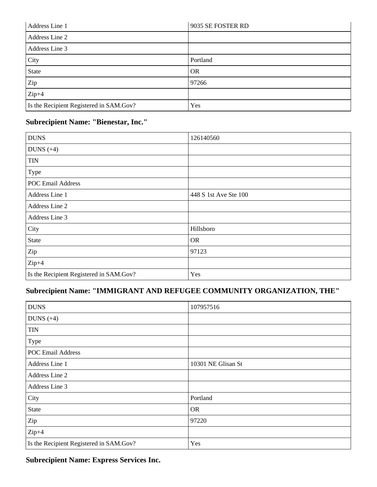| Address Line 1                          | 9035 SE FOSTER RD |
|-----------------------------------------|-------------------|
| Address Line 2                          |                   |
| Address Line 3                          |                   |
| City                                    | Portland          |
| <b>State</b>                            | <b>OR</b>         |
| Zip                                     | 97266             |
| $Zip+4$                                 |                   |
| Is the Recipient Registered in SAM.Gov? | Yes               |

## **Subrecipient Name: "Bienestar, Inc."**

| <b>DUNS</b>                             | 126140560             |
|-----------------------------------------|-----------------------|
| DUNS $(+4)$                             |                       |
| <b>TIN</b>                              |                       |
| Type                                    |                       |
| <b>POC Email Address</b>                |                       |
| Address Line 1                          | 448 S 1st Ave Ste 100 |
| Address Line 2                          |                       |
| Address Line 3                          |                       |
| City                                    | Hillsboro             |
| <b>State</b>                            | <b>OR</b>             |
| Zip                                     | 97123                 |
| $Zip+4$                                 |                       |
| Is the Recipient Registered in SAM.Gov? | Yes                   |

## **Subrecipient Name: "IMMIGRANT AND REFUGEE COMMUNITY ORGANIZATION, THE"**

| <b>DUNS</b>                             | 107957516          |
|-----------------------------------------|--------------------|
| DUNS $(+4)$                             |                    |
| <b>TIN</b>                              |                    |
| Type                                    |                    |
| POC Email Address                       |                    |
| Address Line 1                          | 10301 NE Glisan St |
| Address Line 2                          |                    |
| Address Line 3                          |                    |
| City                                    | Portland           |
| <b>State</b>                            | <b>OR</b>          |
| Zip                                     | 97220              |
| $Zip+4$                                 |                    |
| Is the Recipient Registered in SAM.Gov? | Yes                |

**Subrecipient Name: Express Services Inc.**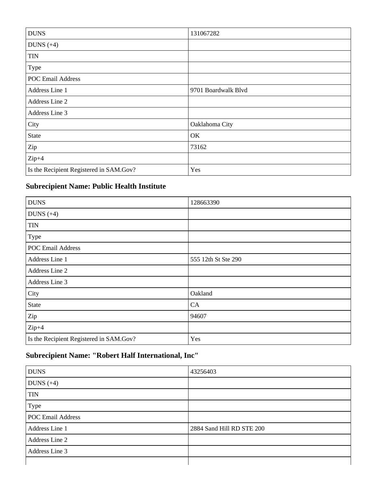| <b>DUNS</b>                             | 131067282           |
|-----------------------------------------|---------------------|
| DUNS $(+4)$                             |                     |
| <b>TIN</b>                              |                     |
| Type                                    |                     |
| <b>POC Email Address</b>                |                     |
| Address Line 1                          | 9701 Boardwalk Blvd |
| Address Line 2                          |                     |
| Address Line 3                          |                     |
| City                                    | Oaklahoma City      |
| <b>State</b>                            | OK                  |
| Zip                                     | 73162               |
| $Zip+4$                                 |                     |
| Is the Recipient Registered in SAM.Gov? | Yes                 |

## **Subrecipient Name: Public Health Institute**

| <b>DUNS</b>                             | 128663390           |
|-----------------------------------------|---------------------|
| DUNS $(+4)$                             |                     |
| <b>TIN</b>                              |                     |
| Type                                    |                     |
| <b>POC Email Address</b>                |                     |
| Address Line 1                          | 555 12th St Ste 290 |
| Address Line 2                          |                     |
| Address Line 3                          |                     |
| City                                    | Oakland             |
| <b>State</b>                            | CA                  |
| Zip                                     | 94607               |
| $Zip+4$                                 |                     |
| Is the Recipient Registered in SAM.Gov? | Yes                 |

# **Subrecipient Name: "Robert Half International, Inc"**

| <b>DUNS</b>              | 43256403                  |
|--------------------------|---------------------------|
| DUNS $(+4)$              |                           |
| <b>TIN</b>               |                           |
| Type                     |                           |
| <b>POC Email Address</b> |                           |
| Address Line 1           | 2884 Sand Hill RD STE 200 |
| Address Line 2           |                           |
| Address Line 3           |                           |
|                          |                           |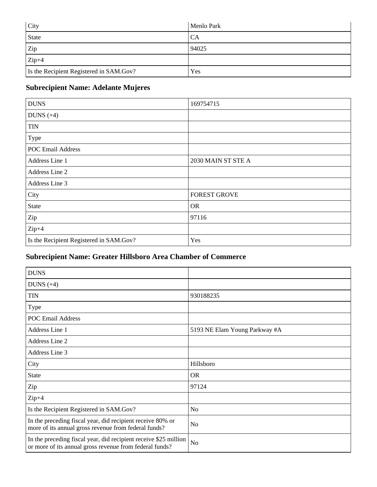| City                                    | <b>Menlo Park</b> |
|-----------------------------------------|-------------------|
| <b>State</b>                            | CA                |
| Zip                                     | 94025             |
| $Zip+4$                                 |                   |
| Is the Recipient Registered in SAM.Gov? | Yes               |

## **Subrecipient Name: Adelante Mujeres**

| <b>DUNS</b>                             | 169754715           |
|-----------------------------------------|---------------------|
| DUNS $(+4)$                             |                     |
| <b>TIN</b>                              |                     |
| Type                                    |                     |
| <b>POC Email Address</b>                |                     |
| Address Line 1                          | 2030 MAIN ST STE A  |
| Address Line 2                          |                     |
| Address Line 3                          |                     |
| City                                    | <b>FOREST GROVE</b> |
| State                                   | <b>OR</b>           |
| Zip                                     | 97116               |
| $Zip+4$                                 |                     |
| Is the Recipient Registered in SAM.Gov? | Yes                 |

## **Subrecipient Name: Greater Hillsboro Area Chamber of Commerce**

| <b>DUNS</b>                                                                                                                 |                               |
|-----------------------------------------------------------------------------------------------------------------------------|-------------------------------|
| DUNS $(+4)$                                                                                                                 |                               |
| <b>TIN</b>                                                                                                                  | 930188235                     |
| Type                                                                                                                        |                               |
| <b>POC Email Address</b>                                                                                                    |                               |
| Address Line 1                                                                                                              | 5193 NE Elam Young Parkway #A |
| Address Line 2                                                                                                              |                               |
| Address Line 3                                                                                                              |                               |
| City                                                                                                                        | Hillsboro                     |
| State                                                                                                                       | <b>OR</b>                     |
| Zip                                                                                                                         | 97124                         |
| $Zip+4$                                                                                                                     |                               |
| Is the Recipient Registered in SAM.Gov?                                                                                     | N <sub>o</sub>                |
| In the preceding fiscal year, did recipient receive 80% or<br>more of its annual gross revenue from federal funds?          | N <sub>o</sub>                |
| In the preceding fiscal year, did recipient receive \$25 million<br>or more of its annual gross revenue from federal funds? | N <sub>o</sub>                |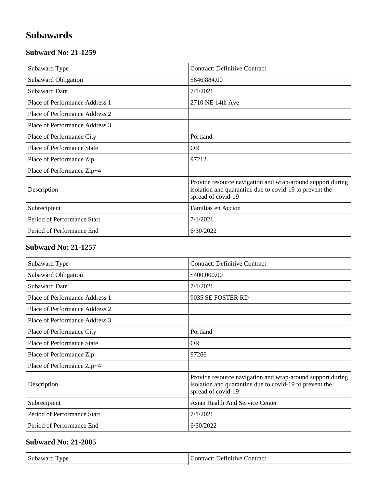# **Subawards**

### **Subward No: 21-1259**

| Subaward Type                  | <b>Contract: Definitive Contract</b>                                                                                                        |
|--------------------------------|---------------------------------------------------------------------------------------------------------------------------------------------|
| Subaward Obligation            | \$646,884.00                                                                                                                                |
| <b>Subaward Date</b>           | 7/1/2021                                                                                                                                    |
| Place of Performance Address 1 | 2710 NE 14th Ave                                                                                                                            |
| Place of Performance Address 2 |                                                                                                                                             |
| Place of Performance Address 3 |                                                                                                                                             |
| Place of Performance City      | Portland                                                                                                                                    |
| Place of Performance State     | <b>OR</b>                                                                                                                                   |
| Place of Performance Zip       | 97212                                                                                                                                       |
| Place of Performance Zip+4     |                                                                                                                                             |
| Description                    | Provide resource navigation and wrap-around support during<br>isolation and quarantine due to covid-19 to prevent the<br>spread of covid-19 |
| Subrecipient                   | Familias en Accion                                                                                                                          |
| Period of Performance Start    | 7/1/2021                                                                                                                                    |
| Period of Performance End      | 6/30/2022                                                                                                                                   |

### **Subward No: 21-1257**

| Subaward Type                     | <b>Contract: Definitive Contract</b>                                                                                                        |
|-----------------------------------|---------------------------------------------------------------------------------------------------------------------------------------------|
| Subaward Obligation               | \$400,000.00                                                                                                                                |
| <b>Subaward Date</b>              | 7/1/2021                                                                                                                                    |
| Place of Performance Address 1    | 9035 SE FOSTER RD                                                                                                                           |
| Place of Performance Address 2    |                                                                                                                                             |
| Place of Performance Address 3    |                                                                                                                                             |
| Place of Performance City         | Portland                                                                                                                                    |
| <b>Place of Performance State</b> | <b>OR</b>                                                                                                                                   |
| Place of Performance Zip          | 97266                                                                                                                                       |
| Place of Performance Zip+4        |                                                                                                                                             |
| Description                       | Provide resource navigation and wrap-around support during<br>isolation and quarantine due to covid-19 to prevent the<br>spread of covid-19 |
| Subrecipient                      | <b>Asian Health And Service Center</b>                                                                                                      |
| Period of Performance Start       | 7/1/2021                                                                                                                                    |
| Period of Performance End         | 6/30/2022                                                                                                                                   |

| Subaward Type<br>$\sim$ $\sim$<br>Contract<br>Definitive C<br>Contract: |
|-------------------------------------------------------------------------|
|-------------------------------------------------------------------------|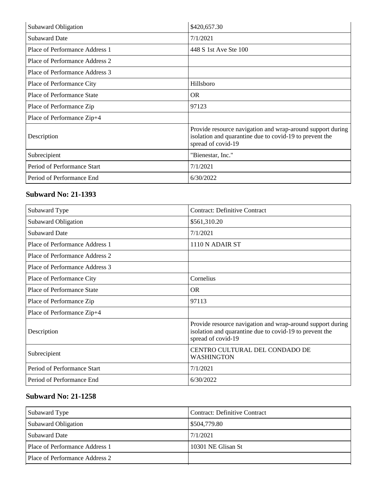| Subaward Obligation               | \$420,657.30                                                                                                                                |
|-----------------------------------|---------------------------------------------------------------------------------------------------------------------------------------------|
| <b>Subaward Date</b>              | 7/1/2021                                                                                                                                    |
| Place of Performance Address 1    | 448 S 1st Ave Ste 100                                                                                                                       |
| Place of Performance Address 2    |                                                                                                                                             |
| Place of Performance Address 3    |                                                                                                                                             |
| Place of Performance City         | Hillsboro                                                                                                                                   |
| <b>Place of Performance State</b> | <b>OR</b>                                                                                                                                   |
| Place of Performance Zip          | 97123                                                                                                                                       |
| Place of Performance Zip+4        |                                                                                                                                             |
| Description                       | Provide resource navigation and wrap-around support during<br>isolation and quarantine due to covid-19 to prevent the<br>spread of covid-19 |
| Subrecipient                      | "Bienestar, Inc."                                                                                                                           |
| Period of Performance Start       | 7/1/2021                                                                                                                                    |
| Period of Performance End         | 6/30/2022                                                                                                                                   |

| Subaward Type                     | <b>Contract: Definitive Contract</b>                                                                                                        |
|-----------------------------------|---------------------------------------------------------------------------------------------------------------------------------------------|
| Subaward Obligation               | \$561,310.20                                                                                                                                |
| <b>Subaward Date</b>              | 7/1/2021                                                                                                                                    |
| Place of Performance Address 1    | 1110 N ADAIR ST                                                                                                                             |
| Place of Performance Address 2    |                                                                                                                                             |
| Place of Performance Address 3    |                                                                                                                                             |
| Place of Performance City         | Cornelius                                                                                                                                   |
| <b>Place of Performance State</b> | <b>OR</b>                                                                                                                                   |
| Place of Performance Zip          | 97113                                                                                                                                       |
| Place of Performance Zip+4        |                                                                                                                                             |
| Description                       | Provide resource navigation and wrap-around support during<br>isolation and quarantine due to covid-19 to prevent the<br>spread of covid-19 |
| Subrecipient                      | CENTRO CULTURAL DEL CONDADO DE<br><b>WASHINGTON</b>                                                                                         |
| Period of Performance Start       | 7/1/2021                                                                                                                                    |
| Period of Performance End         | 6/30/2022                                                                                                                                   |

| Subaward Type                  | Contract: Definitive Contract |
|--------------------------------|-------------------------------|
| <b>Subaward Obligation</b>     | \$504,779.80                  |
| <b>Subaward Date</b>           | 7/1/2021                      |
| Place of Performance Address 1 | 10301 NE Glisan St            |
| Place of Performance Address 2 |                               |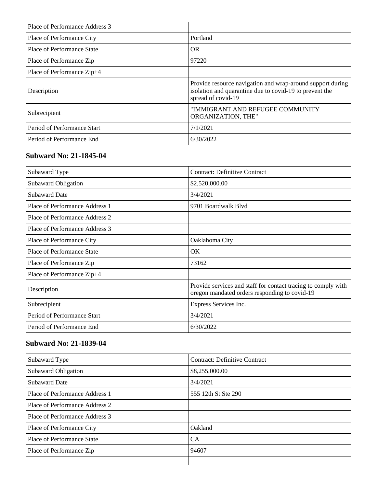| Place of Performance Address 3 |                                                                                                                                             |
|--------------------------------|---------------------------------------------------------------------------------------------------------------------------------------------|
| Place of Performance City      | Portland                                                                                                                                    |
| Place of Performance State     | <b>OR</b>                                                                                                                                   |
| Place of Performance Zip       | 97220                                                                                                                                       |
| Place of Performance Zip+4     |                                                                                                                                             |
| Description                    | Provide resource navigation and wrap-around support during<br>isolation and quarantine due to covid-19 to prevent the<br>spread of covid-19 |
| Subrecipient                   | "IMMIGRANT AND REFUGEE COMMUNITY<br>ORGANIZATION, THE"                                                                                      |
| Period of Performance Start    | 7/1/2021                                                                                                                                    |
| Period of Performance End      | 6/30/2022                                                                                                                                   |

### **Subward No: 21-1845-04**

| Subaward Type                  | <b>Contract: Definitive Contract</b>                                                                           |
|--------------------------------|----------------------------------------------------------------------------------------------------------------|
| Subaward Obligation            | \$2,520,000.00                                                                                                 |
| <b>Subaward Date</b>           | 3/4/2021                                                                                                       |
| Place of Performance Address 1 | 9701 Boardwalk Blyd                                                                                            |
| Place of Performance Address 2 |                                                                                                                |
| Place of Performance Address 3 |                                                                                                                |
| Place of Performance City      | Oaklahoma City                                                                                                 |
| Place of Performance State     | OK.                                                                                                            |
| Place of Performance Zip       | 73162                                                                                                          |
| Place of Performance Zip+4     |                                                                                                                |
| Description                    | Provide services and staff for contact tracing to comply with<br>oregon mandated orders responding to covid-19 |
| Subrecipient                   | Express Services Inc.                                                                                          |
| Period of Performance Start    | 3/4/2021                                                                                                       |
| Period of Performance End      | 6/30/2022                                                                                                      |

## **Subward No: 21-1839-04**

| Subaward Type                  | <b>Contract: Definitive Contract</b> |
|--------------------------------|--------------------------------------|
| Subaward Obligation            | \$8,255,000.00                       |
| <b>Subaward Date</b>           | 3/4/2021                             |
| Place of Performance Address 1 | 555 12th St Ste 290                  |
| Place of Performance Address 2 |                                      |
| Place of Performance Address 3 |                                      |
| Place of Performance City      | Oakland                              |
| Place of Performance State     | CA                                   |
| Place of Performance Zip       | 94607                                |
|                                |                                      |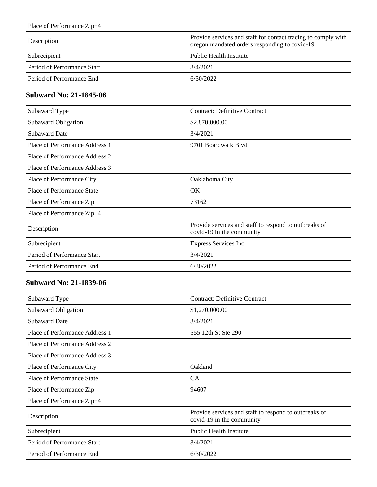| Place of Performance Zip+4  |                                                                                                                |
|-----------------------------|----------------------------------------------------------------------------------------------------------------|
| Description                 | Provide services and staff for contact tracing to comply with<br>oregon mandated orders responding to covid-19 |
| Subrecipient                | <b>Public Health Institute</b>                                                                                 |
| Period of Performance Start | 3/4/2021                                                                                                       |
| Period of Performance End   | 6/30/2022                                                                                                      |

### **Subward No: 21-1845-06**

| Subaward Type                     | <b>Contract: Definitive Contract</b>                                               |
|-----------------------------------|------------------------------------------------------------------------------------|
| Subaward Obligation               | \$2,870,000.00                                                                     |
| <b>Subaward Date</b>              | 3/4/2021                                                                           |
| Place of Performance Address 1    | 9701 Boardwalk Blvd                                                                |
| Place of Performance Address 2    |                                                                                    |
| Place of Performance Address 3    |                                                                                    |
| Place of Performance City         | Oaklahoma City                                                                     |
| <b>Place of Performance State</b> | OK                                                                                 |
| Place of Performance Zip          | 73162                                                                              |
| Place of Performance Zip+4        |                                                                                    |
| Description                       | Provide services and staff to respond to outbreaks of<br>covid-19 in the community |
| Subrecipient                      | Express Services Inc.                                                              |
| Period of Performance Start       | 3/4/2021                                                                           |
| Period of Performance End         | 6/30/2022                                                                          |

## **Subward No: 21-1839-06**

| Subaward Type                     | <b>Contract: Definitive Contract</b>                                               |
|-----------------------------------|------------------------------------------------------------------------------------|
| Subaward Obligation               | \$1,270,000.00                                                                     |
| <b>Subaward Date</b>              | 3/4/2021                                                                           |
| Place of Performance Address 1    | 555 12th St Ste 290                                                                |
| Place of Performance Address 2    |                                                                                    |
| Place of Performance Address 3    |                                                                                    |
| Place of Performance City         | Oakland                                                                            |
| <b>Place of Performance State</b> | <b>CA</b>                                                                          |
| Place of Performance Zip          | 94607                                                                              |
| Place of Performance Zip+4        |                                                                                    |
| Description                       | Provide services and staff to respond to outbreaks of<br>covid-19 in the community |
| Subrecipient                      | <b>Public Health Institute</b>                                                     |
| Period of Performance Start       | 3/4/2021                                                                           |
| Period of Performance End         | 6/30/2022                                                                          |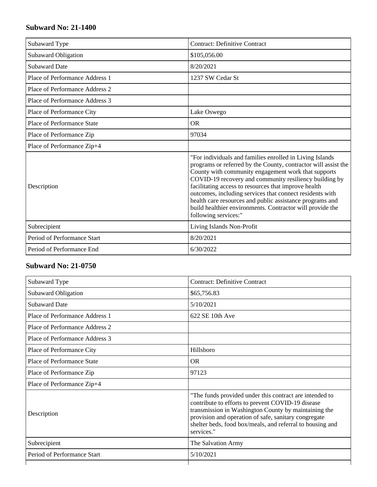| Subaward Type                     | <b>Contract: Definitive Contract</b>                                                                                                                                                                                                                                                                                                                                                                                                                                                                             |
|-----------------------------------|------------------------------------------------------------------------------------------------------------------------------------------------------------------------------------------------------------------------------------------------------------------------------------------------------------------------------------------------------------------------------------------------------------------------------------------------------------------------------------------------------------------|
| <b>Subaward Obligation</b>        | \$105,056.00                                                                                                                                                                                                                                                                                                                                                                                                                                                                                                     |
| <b>Subaward Date</b>              | 8/20/2021                                                                                                                                                                                                                                                                                                                                                                                                                                                                                                        |
| Place of Performance Address 1    | 1237 SW Cedar St                                                                                                                                                                                                                                                                                                                                                                                                                                                                                                 |
| Place of Performance Address 2    |                                                                                                                                                                                                                                                                                                                                                                                                                                                                                                                  |
| Place of Performance Address 3    |                                                                                                                                                                                                                                                                                                                                                                                                                                                                                                                  |
| Place of Performance City         | Lake Oswego                                                                                                                                                                                                                                                                                                                                                                                                                                                                                                      |
| <b>Place of Performance State</b> | <b>OR</b>                                                                                                                                                                                                                                                                                                                                                                                                                                                                                                        |
| Place of Performance Zip          | 97034                                                                                                                                                                                                                                                                                                                                                                                                                                                                                                            |
| Place of Performance Zip+4        |                                                                                                                                                                                                                                                                                                                                                                                                                                                                                                                  |
| Description                       | "For individuals and families enrolled in Living Islands<br>programs or referred by the County, contractor will assist the<br>County with community engagement work that supports<br>COVID-19 recovery and community resiliency building by<br>facilitating access to resources that improve health<br>outcomes, including services that connect residents with<br>health care resources and public assistance programs and<br>build healthier environments. Contractor will provide the<br>following services:" |
| Subrecipient                      | Living Islands Non-Profit                                                                                                                                                                                                                                                                                                                                                                                                                                                                                        |
| Period of Performance Start       | 8/20/2021                                                                                                                                                                                                                                                                                                                                                                                                                                                                                                        |
| Period of Performance End         | 6/30/2022                                                                                                                                                                                                                                                                                                                                                                                                                                                                                                        |

| Subaward Type                  | <b>Contract: Definitive Contract</b>                                                                                                                                                                                                                                                                    |
|--------------------------------|---------------------------------------------------------------------------------------------------------------------------------------------------------------------------------------------------------------------------------------------------------------------------------------------------------|
| Subaward Obligation            | \$65,756.83                                                                                                                                                                                                                                                                                             |
| <b>Subaward Date</b>           | 5/10/2021                                                                                                                                                                                                                                                                                               |
| Place of Performance Address 1 | $622$ SE 10th Ave                                                                                                                                                                                                                                                                                       |
| Place of Performance Address 2 |                                                                                                                                                                                                                                                                                                         |
| Place of Performance Address 3 |                                                                                                                                                                                                                                                                                                         |
| Place of Performance City      | Hillsboro                                                                                                                                                                                                                                                                                               |
| Place of Performance State     | <b>OR</b>                                                                                                                                                                                                                                                                                               |
| Place of Performance Zip       | 97123                                                                                                                                                                                                                                                                                                   |
| Place of Performance Zip+4     |                                                                                                                                                                                                                                                                                                         |
| Description                    | "The funds provided under this contract are intended to<br>contribute to efforts to prevent COVID-19 disease<br>transmission in Washington County by maintaining the<br>provision and operation of safe, sanitary congregate<br>shelter beds, food box/meals, and referral to housing and<br>services." |
| Subrecipient                   | The Salvation Army                                                                                                                                                                                                                                                                                      |
| Period of Performance Start    | 5/10/2021                                                                                                                                                                                                                                                                                               |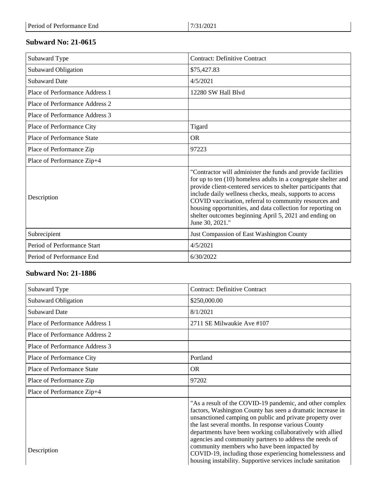| Subaward Type                     | <b>Contract: Definitive Contract</b>                                                                                                                                                                                                                                                                                                                                                                                                                              |
|-----------------------------------|-------------------------------------------------------------------------------------------------------------------------------------------------------------------------------------------------------------------------------------------------------------------------------------------------------------------------------------------------------------------------------------------------------------------------------------------------------------------|
| <b>Subaward Obligation</b>        | \$75,427.83                                                                                                                                                                                                                                                                                                                                                                                                                                                       |
| <b>Subaward Date</b>              | 4/5/2021                                                                                                                                                                                                                                                                                                                                                                                                                                                          |
| Place of Performance Address 1    | 12280 SW Hall Blyd                                                                                                                                                                                                                                                                                                                                                                                                                                                |
| Place of Performance Address 2    |                                                                                                                                                                                                                                                                                                                                                                                                                                                                   |
| Place of Performance Address 3    |                                                                                                                                                                                                                                                                                                                                                                                                                                                                   |
| Place of Performance City         | Tigard                                                                                                                                                                                                                                                                                                                                                                                                                                                            |
| <b>Place of Performance State</b> | <b>OR</b>                                                                                                                                                                                                                                                                                                                                                                                                                                                         |
| Place of Performance Zip          | 97223                                                                                                                                                                                                                                                                                                                                                                                                                                                             |
| Place of Performance Zip+4        |                                                                                                                                                                                                                                                                                                                                                                                                                                                                   |
| Description                       | "Contractor will administer the funds and provide facilities<br>for up to ten (10) homeless adults in a congregate shelter and<br>provide client-centered services to shelter participants that<br>include daily wellness checks, meals, supports to access<br>COVID vaccination, referral to community resources and<br>housing opportunities, and data collection for reporting on<br>shelter outcomes beginning April 5, 2021 and ending on<br>June 30, 2021." |
| Subrecipient                      | Just Compassion of East Washington County                                                                                                                                                                                                                                                                                                                                                                                                                         |
| Period of Performance Start       | 4/5/2021                                                                                                                                                                                                                                                                                                                                                                                                                                                          |
| Period of Performance End         | 6/30/2022                                                                                                                                                                                                                                                                                                                                                                                                                                                         |

| Subaward Type                  | <b>Contract: Definitive Contract</b>                                                                                                                                                                                                                                                                                                                                                                                                                                                                                                       |
|--------------------------------|--------------------------------------------------------------------------------------------------------------------------------------------------------------------------------------------------------------------------------------------------------------------------------------------------------------------------------------------------------------------------------------------------------------------------------------------------------------------------------------------------------------------------------------------|
| Subaward Obligation            | \$250,000.00                                                                                                                                                                                                                                                                                                                                                                                                                                                                                                                               |
| <b>Subaward Date</b>           | 8/1/2021                                                                                                                                                                                                                                                                                                                                                                                                                                                                                                                                   |
| Place of Performance Address 1 | 2711 SE Milwaukie Ave #107                                                                                                                                                                                                                                                                                                                                                                                                                                                                                                                 |
| Place of Performance Address 2 |                                                                                                                                                                                                                                                                                                                                                                                                                                                                                                                                            |
| Place of Performance Address 3 |                                                                                                                                                                                                                                                                                                                                                                                                                                                                                                                                            |
| Place of Performance City      | Portland                                                                                                                                                                                                                                                                                                                                                                                                                                                                                                                                   |
| Place of Performance State     | <b>OR</b>                                                                                                                                                                                                                                                                                                                                                                                                                                                                                                                                  |
| Place of Performance Zip       | 97202                                                                                                                                                                                                                                                                                                                                                                                                                                                                                                                                      |
| Place of Performance Zip+4     |                                                                                                                                                                                                                                                                                                                                                                                                                                                                                                                                            |
| Description                    | "As a result of the COVID-19 pandemic, and other complex<br>factors, Washington County has seen a dramatic increase in<br>unsanctioned camping on public and private property over<br>the last several months. In response various County<br>departments have been working collaboratively with allied<br>agencies and community partners to address the needs of<br>community members who have been impacted by<br>COVID-19, including those experiencing homelessness and<br>housing instability. Supportive services include sanitation |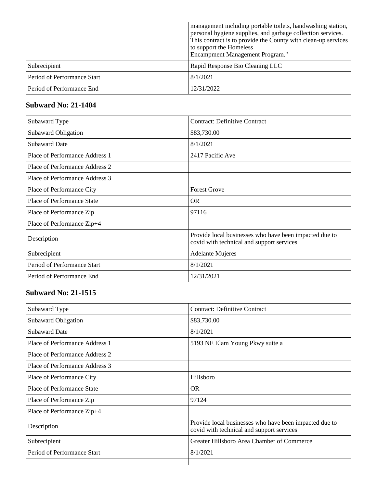|                             | management including portable toilets, handwashing station,<br>personal hygiene supplies, and garbage collection services.<br>This contract is to provide the County with clean-up services<br>to support the Homeless<br><b>Encampment Management Program."</b> |
|-----------------------------|------------------------------------------------------------------------------------------------------------------------------------------------------------------------------------------------------------------------------------------------------------------|
| Subrecipient                | Rapid Response Bio Cleaning LLC                                                                                                                                                                                                                                  |
| Period of Performance Start | 8/1/2021                                                                                                                                                                                                                                                         |
| Period of Performance End   | 12/31/2022                                                                                                                                                                                                                                                       |

| Subaward Type                  | <b>Contract: Definitive Contract</b>                                                                |
|--------------------------------|-----------------------------------------------------------------------------------------------------|
| Subaward Obligation            | \$83,730.00                                                                                         |
| <b>Subaward Date</b>           | 8/1/2021                                                                                            |
| Place of Performance Address 1 | 2417 Pacific Ave                                                                                    |
| Place of Performance Address 2 |                                                                                                     |
| Place of Performance Address 3 |                                                                                                     |
| Place of Performance City      | <b>Forest Grove</b>                                                                                 |
| Place of Performance State     | OR.                                                                                                 |
| Place of Performance Zip       | 97116                                                                                               |
| Place of Performance Zip+4     |                                                                                                     |
| Description                    | Provide local businesses who have been impacted due to<br>covid with technical and support services |
| Subrecipient                   | <b>Adelante Mujeres</b>                                                                             |
| Period of Performance Start    | 8/1/2021                                                                                            |
| Period of Performance End      | 12/31/2021                                                                                          |

| Subaward Type                  | <b>Contract: Definitive Contract</b>                                                                |
|--------------------------------|-----------------------------------------------------------------------------------------------------|
| Subaward Obligation            | \$83,730.00                                                                                         |
| <b>Subaward Date</b>           | 8/1/2021                                                                                            |
| Place of Performance Address 1 | 5193 NE Elam Young Pkwy suite a                                                                     |
| Place of Performance Address 2 |                                                                                                     |
| Place of Performance Address 3 |                                                                                                     |
| Place of Performance City      | Hillsboro                                                                                           |
| Place of Performance State     | <b>OR</b>                                                                                           |
| Place of Performance Zip       | 97124                                                                                               |
| Place of Performance Zip+4     |                                                                                                     |
| Description                    | Provide local businesses who have been impacted due to<br>covid with technical and support services |
| Subrecipient                   | Greater Hillsboro Area Chamber of Commerce                                                          |
| Period of Performance Start    | 8/1/2021                                                                                            |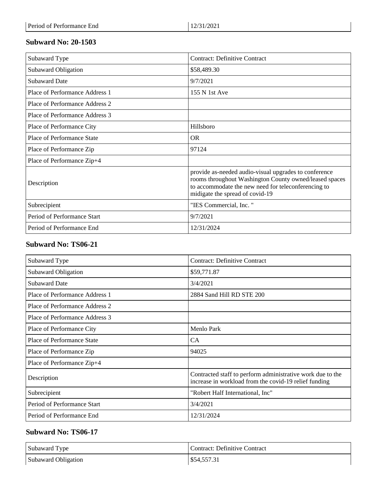| Subaward Type                  | <b>Contract: Definitive Contract</b>                                                                                                                                                                      |
|--------------------------------|-----------------------------------------------------------------------------------------------------------------------------------------------------------------------------------------------------------|
| Subaward Obligation            | \$58,489.30                                                                                                                                                                                               |
| <b>Subaward Date</b>           | 9/7/2021                                                                                                                                                                                                  |
| Place of Performance Address 1 | 155 N 1st Ave                                                                                                                                                                                             |
| Place of Performance Address 2 |                                                                                                                                                                                                           |
| Place of Performance Address 3 |                                                                                                                                                                                                           |
| Place of Performance City      | Hillsboro                                                                                                                                                                                                 |
| Place of Performance State     | OR.                                                                                                                                                                                                       |
| Place of Performance Zip       | 97124                                                                                                                                                                                                     |
| Place of Performance Zip+4     |                                                                                                                                                                                                           |
| Description                    | provide as-needed audio-visual upgrades to conference<br>rooms throughout Washington County owned/leased spaces<br>to accommodate the new need for teleconferencing to<br>midigate the spread of covid-19 |
| Subrecipient                   | "IES Commercial, Inc."                                                                                                                                                                                    |
| Period of Performance Start    | 9/7/2021                                                                                                                                                                                                  |
| Period of Performance End      | 12/31/2024                                                                                                                                                                                                |

#### **Subward No: TS06-21**

| Subaward Type                     | <b>Contract: Definitive Contract</b>                                                                                |
|-----------------------------------|---------------------------------------------------------------------------------------------------------------------|
| Subaward Obligation               | \$59,771.87                                                                                                         |
| <b>Subaward Date</b>              | 3/4/2021                                                                                                            |
| Place of Performance Address 1    | 2884 Sand Hill RD STE 200                                                                                           |
| Place of Performance Address 2    |                                                                                                                     |
| Place of Performance Address 3    |                                                                                                                     |
| Place of Performance City         | Menlo Park                                                                                                          |
| <b>Place of Performance State</b> | CA                                                                                                                  |
| Place of Performance Zip          | 94025                                                                                                               |
| Place of Performance Zip+4        |                                                                                                                     |
| Description                       | Contracted staff to perform administrative work due to the<br>increase in workload from the covid-19 relief funding |
| Subrecipient                      | "Robert Half International, Inc"                                                                                    |
| Period of Performance Start       | 3/4/2021                                                                                                            |
| Period of Performance End         | 12/31/2024                                                                                                          |

### **Subward No: TS06-17**

| Subaward Type       | Contract: Definitive Contract |
|---------------------|-------------------------------|
| Subaward Obligation | \$54,557.31                   |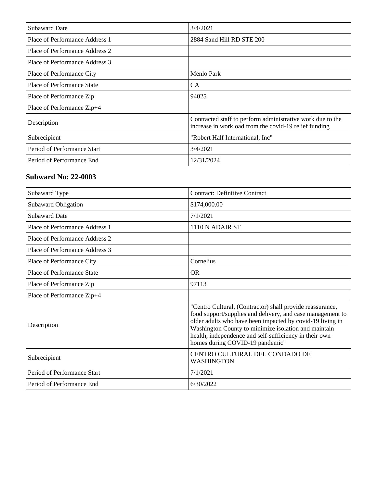| <b>Subaward Date</b>           | 3/4/2021                                                                                                            |
|--------------------------------|---------------------------------------------------------------------------------------------------------------------|
| Place of Performance Address 1 | 2884 Sand Hill RD STE 200                                                                                           |
| Place of Performance Address 2 |                                                                                                                     |
| Place of Performance Address 3 |                                                                                                                     |
| Place of Performance City      | Menlo Park                                                                                                          |
| Place of Performance State     | CA.                                                                                                                 |
| Place of Performance Zip       | 94025                                                                                                               |
| Place of Performance Zip+4     |                                                                                                                     |
| Description                    | Contracted staff to perform administrative work due to the<br>increase in workload from the covid-19 relief funding |
| Subrecipient                   | "Robert Half International, Inc"                                                                                    |
| Period of Performance Start    | 3/4/2021                                                                                                            |
| Period of Performance End      | 12/31/2024                                                                                                          |

| Subaward Type                  | <b>Contract: Definitive Contract</b>                                                                                                                                                                                                                                                                                                      |
|--------------------------------|-------------------------------------------------------------------------------------------------------------------------------------------------------------------------------------------------------------------------------------------------------------------------------------------------------------------------------------------|
| Subaward Obligation            | \$174,000.00                                                                                                                                                                                                                                                                                                                              |
| <b>Subaward Date</b>           | 7/1/2021                                                                                                                                                                                                                                                                                                                                  |
| Place of Performance Address 1 | 1110 N ADAIR ST                                                                                                                                                                                                                                                                                                                           |
| Place of Performance Address 2 |                                                                                                                                                                                                                                                                                                                                           |
| Place of Performance Address 3 |                                                                                                                                                                                                                                                                                                                                           |
| Place of Performance City      | Cornelius                                                                                                                                                                                                                                                                                                                                 |
| Place of Performance State     | OR.                                                                                                                                                                                                                                                                                                                                       |
| Place of Performance Zip       | 97113                                                                                                                                                                                                                                                                                                                                     |
| Place of Performance Zip+4     |                                                                                                                                                                                                                                                                                                                                           |
| Description                    | "Centro Cultural, (Contractor) shall provide reassurance,<br>food support/supplies and delivery, and case management to<br>older adults who have been impacted by covid-19 living in<br>Washington County to minimize isolation and maintain<br>health, independence and self-sufficiency in their own<br>homes during COVID-19 pandemic" |
| Subrecipient                   | CENTRO CULTURAL DEL CONDADO DE<br><b>WASHINGTON</b>                                                                                                                                                                                                                                                                                       |
| Period of Performance Start    | 7/1/2021                                                                                                                                                                                                                                                                                                                                  |
| Period of Performance End      | 6/30/2022                                                                                                                                                                                                                                                                                                                                 |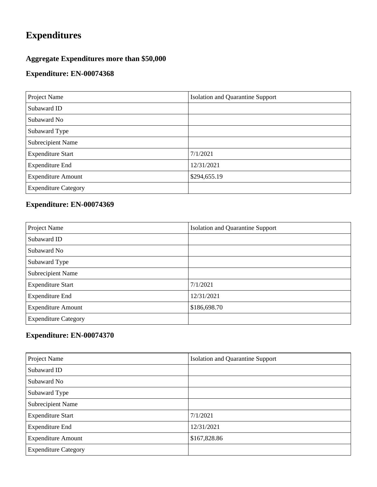# **Expenditures**

## **Aggregate Expenditures more than \$50,000**

### **Expenditure: EN-00074368**

| Project Name                | <b>Isolation and Quarantine Support</b> |
|-----------------------------|-----------------------------------------|
| Subaward ID                 |                                         |
| Subaward No                 |                                         |
| Subaward Type               |                                         |
| <b>Subrecipient Name</b>    |                                         |
| <b>Expenditure Start</b>    | 7/1/2021                                |
| <b>Expenditure End</b>      | 12/31/2021                              |
| <b>Expenditure Amount</b>   | \$294,655.19                            |
| <b>Expenditure Category</b> |                                         |

## **Expenditure: EN-00074369**

| Project Name                | <b>Isolation and Quarantine Support</b> |
|-----------------------------|-----------------------------------------|
| Subaward ID                 |                                         |
| Subaward No                 |                                         |
| Subaward Type               |                                         |
| Subrecipient Name           |                                         |
| <b>Expenditure Start</b>    | 7/1/2021                                |
| <b>Expenditure End</b>      | 12/31/2021                              |
| <b>Expenditure Amount</b>   | \$186,698.70                            |
| <b>Expenditure Category</b> |                                         |

| Project Name                | <b>Isolation and Quarantine Support</b> |
|-----------------------------|-----------------------------------------|
| Subaward ID                 |                                         |
| Subaward No                 |                                         |
| Subaward Type               |                                         |
| <b>Subrecipient Name</b>    |                                         |
| <b>Expenditure Start</b>    | 7/1/2021                                |
| <b>Expenditure End</b>      | 12/31/2021                              |
| <b>Expenditure Amount</b>   | \$167,828.86                            |
| <b>Expenditure Category</b> |                                         |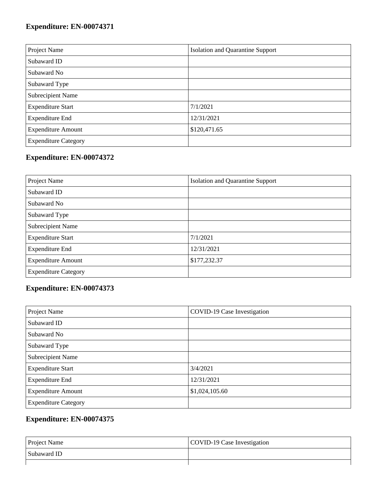| Project Name                | <b>Isolation and Quarantine Support</b> |
|-----------------------------|-----------------------------------------|
| Subaward ID                 |                                         |
| Subaward No                 |                                         |
| Subaward Type               |                                         |
| Subrecipient Name           |                                         |
| <b>Expenditure Start</b>    | 7/1/2021                                |
| <b>Expenditure End</b>      | 12/31/2021                              |
| <b>Expenditure Amount</b>   | \$120,471.65                            |
| <b>Expenditure Category</b> |                                         |

## **Expenditure: EN-00074372**

| Project Name                | <b>Isolation and Quarantine Support</b> |
|-----------------------------|-----------------------------------------|
| Subaward ID                 |                                         |
| Subaward No                 |                                         |
| Subaward Type               |                                         |
| Subrecipient Name           |                                         |
| <b>Expenditure Start</b>    | 7/1/2021                                |
| <b>Expenditure End</b>      | 12/31/2021                              |
| <b>Expenditure Amount</b>   | \$177,232.37                            |
| <b>Expenditure Category</b> |                                         |

## **Expenditure: EN-00074373**

| Project Name                | COVID-19 Case Investigation |
|-----------------------------|-----------------------------|
| Subaward ID                 |                             |
| Subaward No                 |                             |
| Subaward Type               |                             |
| Subrecipient Name           |                             |
| <b>Expenditure Start</b>    | 3/4/2021                    |
| <b>Expenditure End</b>      | 12/31/2021                  |
| <b>Expenditure Amount</b>   | \$1,024,105.60              |
| <b>Expenditure Category</b> |                             |

| <b>Project Name</b> | COVID-19 Case Investigation |
|---------------------|-----------------------------|
| Subaward ID         |                             |
|                     |                             |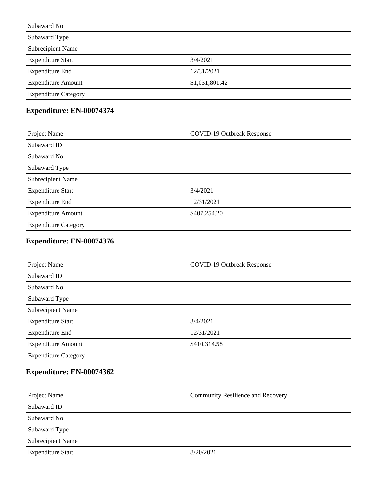| Subaward No                 |                |
|-----------------------------|----------------|
| Subaward Type               |                |
| <b>Subrecipient Name</b>    |                |
| <b>Expenditure Start</b>    | 3/4/2021       |
| <b>Expenditure End</b>      | 12/31/2021     |
| <b>Expenditure Amount</b>   | \$1,031,801.42 |
| <b>Expenditure Category</b> |                |

| Project Name                | <b>COVID-19 Outbreak Response</b> |
|-----------------------------|-----------------------------------|
| Subaward ID                 |                                   |
| Subaward No                 |                                   |
| Subaward Type               |                                   |
| Subrecipient Name           |                                   |
| <b>Expenditure Start</b>    | 3/4/2021                          |
| <b>Expenditure End</b>      | 12/31/2021                        |
| <b>Expenditure Amount</b>   | \$407,254.20                      |
| <b>Expenditure Category</b> |                                   |

## **Expenditure: EN-00074376**

| Project Name                | <b>COVID-19 Outbreak Response</b> |
|-----------------------------|-----------------------------------|
| Subaward ID                 |                                   |
| Subaward No                 |                                   |
| Subaward Type               |                                   |
| Subrecipient Name           |                                   |
| <b>Expenditure Start</b>    | 3/4/2021                          |
| <b>Expenditure End</b>      | 12/31/2021                        |
| <b>Expenditure Amount</b>   | \$410,314.58                      |
| <b>Expenditure Category</b> |                                   |

| Project Name             | <b>Community Resilience and Recovery</b> |
|--------------------------|------------------------------------------|
| Subaward ID              |                                          |
| Subaward No              |                                          |
| Subaward Type            |                                          |
| <b>Subrecipient Name</b> |                                          |
| <b>Expenditure Start</b> | 8/20/2021                                |
|                          |                                          |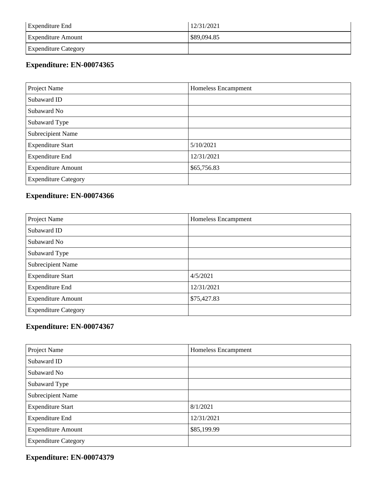| <b>Expenditure End</b>      | 12/31/2021  |
|-----------------------------|-------------|
| <b>Expenditure Amount</b>   | \$89,094.85 |
| <b>Expenditure Category</b> |             |

| Project Name                | Homeless Encampment |
|-----------------------------|---------------------|
| Subaward ID                 |                     |
| Subaward No                 |                     |
| Subaward Type               |                     |
| Subrecipient Name           |                     |
| <b>Expenditure Start</b>    | 5/10/2021           |
| <b>Expenditure End</b>      | 12/31/2021          |
| <b>Expenditure Amount</b>   | \$65,756.83         |
| <b>Expenditure Category</b> |                     |

### **Expenditure: EN-00074366**

| Project Name                | Homeless Encampment |
|-----------------------------|---------------------|
| Subaward ID                 |                     |
| Subaward No                 |                     |
| Subaward Type               |                     |
| Subrecipient Name           |                     |
| <b>Expenditure Start</b>    | 4/5/2021            |
| <b>Expenditure End</b>      | 12/31/2021          |
| <b>Expenditure Amount</b>   | \$75,427.83         |
| <b>Expenditure Category</b> |                     |

## **Expenditure: EN-00074367**

| Project Name                | Homeless Encampment |
|-----------------------------|---------------------|
| Subaward ID                 |                     |
| Subaward No                 |                     |
| Subaward Type               |                     |
| Subrecipient Name           |                     |
| <b>Expenditure Start</b>    | 8/1/2021            |
| <b>Expenditure End</b>      | 12/31/2021          |
| <b>Expenditure Amount</b>   | \$85,199.99         |
| <b>Expenditure Category</b> |                     |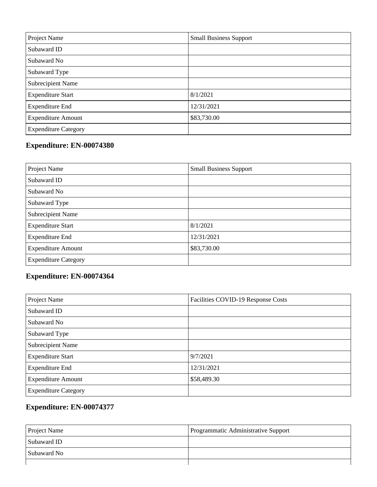| Project Name                | <b>Small Business Support</b> |
|-----------------------------|-------------------------------|
| Subaward ID                 |                               |
| Subaward No                 |                               |
| Subaward Type               |                               |
| <b>Subrecipient Name</b>    |                               |
| <b>Expenditure Start</b>    | 8/1/2021                      |
| <b>Expenditure End</b>      | 12/31/2021                    |
| <b>Expenditure Amount</b>   | \$83,730.00                   |
| <b>Expenditure Category</b> |                               |

| Project Name                | <b>Small Business Support</b> |
|-----------------------------|-------------------------------|
| Subaward ID                 |                               |
| Subaward No                 |                               |
| Subaward Type               |                               |
| Subrecipient Name           |                               |
| <b>Expenditure Start</b>    | 8/1/2021                      |
| <b>Expenditure End</b>      | 12/31/2021                    |
| <b>Expenditure Amount</b>   | \$83,730.00                   |
| <b>Expenditure Category</b> |                               |

## **Expenditure: EN-00074364**

| Project Name                | Facilities COVID-19 Response Costs |
|-----------------------------|------------------------------------|
| Subaward ID                 |                                    |
| Subaward No                 |                                    |
| Subaward Type               |                                    |
| Subrecipient Name           |                                    |
| <b>Expenditure Start</b>    | 9/7/2021                           |
| <b>Expenditure End</b>      | 12/31/2021                         |
| <b>Expenditure Amount</b>   | \$58,489.30                        |
| <b>Expenditure Category</b> |                                    |

| <b>Project Name</b> | Programmatic Administrative Support |
|---------------------|-------------------------------------|
| Subaward ID         |                                     |
| Subaward No         |                                     |
|                     |                                     |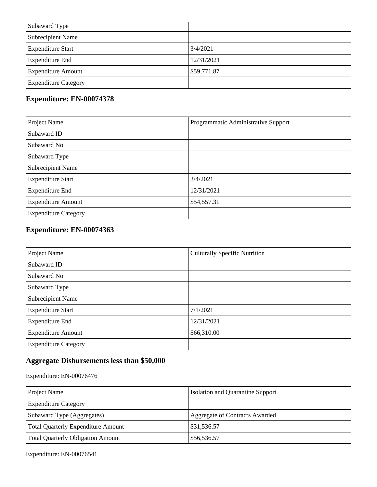| Subaward Type               |             |
|-----------------------------|-------------|
| <b>Subrecipient Name</b>    |             |
| <b>Expenditure Start</b>    | 3/4/2021    |
| <b>Expenditure End</b>      | 12/31/2021  |
| <b>Expenditure Amount</b>   | \$59,771.87 |
| <b>Expenditure Category</b> |             |

| Project Name                | Programmatic Administrative Support |
|-----------------------------|-------------------------------------|
| Subaward ID                 |                                     |
| Subaward No                 |                                     |
| Subaward Type               |                                     |
| Subrecipient Name           |                                     |
| <b>Expenditure Start</b>    | 3/4/2021                            |
| <b>Expenditure End</b>      | 12/31/2021                          |
| <b>Expenditure Amount</b>   | \$54,557.31                         |
| <b>Expenditure Category</b> |                                     |

## **Expenditure: EN-00074363**

| Project Name                | <b>Culturally Specific Nutrition</b> |
|-----------------------------|--------------------------------------|
| Subaward ID                 |                                      |
| Subaward No                 |                                      |
| Subaward Type               |                                      |
| <b>Subrecipient Name</b>    |                                      |
| <b>Expenditure Start</b>    | 7/1/2021                             |
| <b>Expenditure End</b>      | 12/31/2021                           |
| <b>Expenditure Amount</b>   | \$66,310.00                          |
| <b>Expenditure Category</b> |                                      |

# **Aggregate Disbursements less than \$50,000**

Expenditure: EN-00076476

| Project Name                              | <b>Isolation and Quarantine Support</b> |
|-------------------------------------------|-----------------------------------------|
| <b>Expenditure Category</b>               |                                         |
| Subaward Type (Aggregates)                | <b>Aggregate of Contracts Awarded</b>   |
| <b>Total Quarterly Expenditure Amount</b> | \$31,536.57                             |
| <b>Total Quarterly Obligation Amount</b>  | \$56,536.57                             |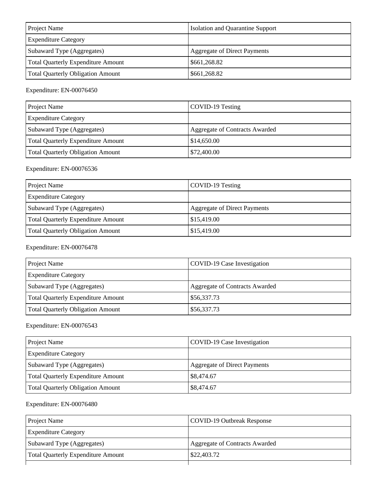| <b>Project Name</b>                       | <b>Isolation and Quarantine Support</b> |
|-------------------------------------------|-----------------------------------------|
| <b>Expenditure Category</b>               |                                         |
| Subaward Type (Aggregates)                | Aggregate of Direct Payments            |
| <b>Total Quarterly Expenditure Amount</b> | \$661,268.82                            |
| <b>Total Quarterly Obligation Amount</b>  | \$661,268.82                            |

| Project Name                       | COVID-19 Testing               |
|------------------------------------|--------------------------------|
| <b>Expenditure Category</b>        |                                |
| Subaward Type (Aggregates)         | Aggregate of Contracts Awarded |
| Total Quarterly Expenditure Amount | \$14,650.00                    |
| Total Quarterly Obligation Amount  | \$72,400.00                    |

### Expenditure: EN-00076536

| Project Name                              | COVID-19 Testing                    |
|-------------------------------------------|-------------------------------------|
| <b>Expenditure Category</b>               |                                     |
| Subaward Type (Aggregates)                | <b>Aggregate of Direct Payments</b> |
| <b>Total Quarterly Expenditure Amount</b> | \$15,419.00                         |
| <b>Total Quarterly Obligation Amount</b>  | \$15,419.00                         |

### Expenditure: EN-00076478

| Project Name                              | COVID-19 Case Investigation           |
|-------------------------------------------|---------------------------------------|
| <b>Expenditure Category</b>               |                                       |
| Subaward Type (Aggregates)                | <b>Aggregate of Contracts Awarded</b> |
| <b>Total Quarterly Expenditure Amount</b> | \$56,337.73                           |
| <b>Total Quarterly Obligation Amount</b>  | \$56,337.73                           |

### Expenditure: EN-00076543

| Project Name                              | COVID-19 Case Investigation  |
|-------------------------------------------|------------------------------|
| <b>Expenditure Category</b>               |                              |
| Subaward Type (Aggregates)                | Aggregate of Direct Payments |
| <b>Total Quarterly Expenditure Amount</b> | \$8,474.67                   |
| <b>Total Quarterly Obligation Amount</b>  | \$8,474.67                   |

| <b>Project Name</b>                       | COVID-19 Outbreak Response     |
|-------------------------------------------|--------------------------------|
| <b>Expenditure Category</b>               |                                |
| Subaward Type (Aggregates)                | Aggregate of Contracts Awarded |
| <b>Total Quarterly Expenditure Amount</b> | \$22,403.72                    |
|                                           |                                |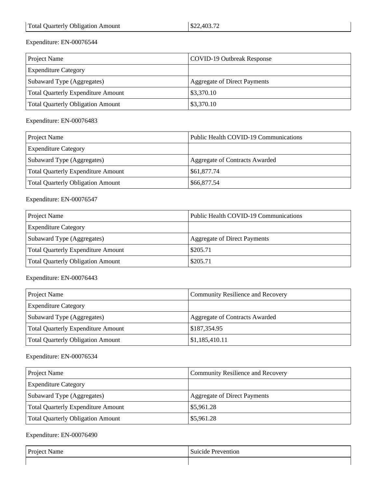| <b>Project Name</b>                      | COVID-19 Outbreak Response   |
|------------------------------------------|------------------------------|
| <b>Expenditure Category</b>              |                              |
| Subaward Type (Aggregates)               | Aggregate of Direct Payments |
| Total Quarterly Expenditure Amount       | \$3,370.10                   |
| <b>Total Quarterly Obligation Amount</b> | \$3,370.10                   |

Expenditure: EN-00076483

| <b>Project Name</b>                       | Public Health COVID-19 Communications |
|-------------------------------------------|---------------------------------------|
| <b>Expenditure Category</b>               |                                       |
| Subaward Type (Aggregates)                | Aggregate of Contracts Awarded        |
| <b>Total Quarterly Expenditure Amount</b> | \$61,877.74                           |
| <b>Total Quarterly Obligation Amount</b>  | \$66,877.54                           |

Expenditure: EN-00076547

| Project Name                              | Public Health COVID-19 Communications |
|-------------------------------------------|---------------------------------------|
| <b>Expenditure Category</b>               |                                       |
| Subaward Type (Aggregates)                | Aggregate of Direct Payments          |
| <b>Total Quarterly Expenditure Amount</b> | \$205.71                              |
| <b>Total Quarterly Obligation Amount</b>  | \$205.71                              |

Expenditure: EN-00076443

| <b>Project Name</b>                       | <b>Community Resilience and Recovery</b> |
|-------------------------------------------|------------------------------------------|
| <b>Expenditure Category</b>               |                                          |
| Subaward Type (Aggregates)                | <b>Aggregate of Contracts Awarded</b>    |
| <b>Total Quarterly Expenditure Amount</b> | \$187,354.95                             |
| <b>Total Quarterly Obligation Amount</b>  | \$1,185,410.11                           |

### Expenditure: EN-00076534

| Project Name                              | <b>Community Resilience and Recovery</b> |
|-------------------------------------------|------------------------------------------|
| <b>Expenditure Category</b>               |                                          |
| Subaward Type (Aggregates)                | <b>Aggregate of Direct Payments</b>      |
| <b>Total Quarterly Expenditure Amount</b> | \$5,961.28                               |
| Total Quarterly Obligation Amount         | \$5,961.28                               |

| Project Name | Prevention<br>Suicide |
|--------------|-----------------------|
|              |                       |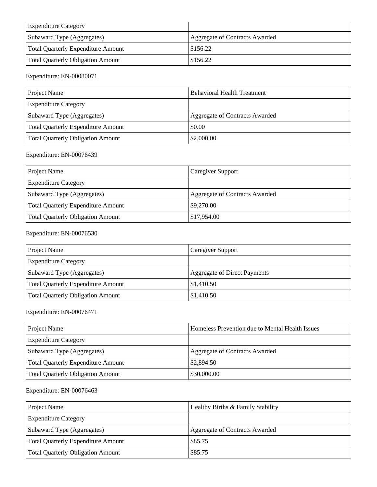| <b>Expenditure Category</b>               |                                |
|-------------------------------------------|--------------------------------|
| Subaward Type (Aggregates)                | Aggregate of Contracts Awarded |
| <b>Total Quarterly Expenditure Amount</b> | \$156.22                       |
| <b>Total Quarterly Obligation Amount</b>  | \$156.22                       |

| <b>Project Name</b>                      | <b>Behavioral Health Treatment</b>    |
|------------------------------------------|---------------------------------------|
| <b>Expenditure Category</b>              |                                       |
| Subaward Type (Aggregates)               | <b>Aggregate of Contracts Awarded</b> |
| Total Quarterly Expenditure Amount       | \$0.00                                |
| <b>Total Quarterly Obligation Amount</b> | \$2,000.00                            |

### Expenditure: EN-00076439

| Project Name                              | Caregiver Support                     |
|-------------------------------------------|---------------------------------------|
| <b>Expenditure Category</b>               |                                       |
| Subaward Type (Aggregates)                | <b>Aggregate of Contracts Awarded</b> |
| <b>Total Quarterly Expenditure Amount</b> | \$9,270.00                            |
| <b>Total Quarterly Obligation Amount</b>  | \$17,954.00                           |

### Expenditure: EN-00076530

| Project Name                              | Caregiver Support                   |
|-------------------------------------------|-------------------------------------|
| <b>Expenditure Category</b>               |                                     |
| Subaward Type (Aggregates)                | <b>Aggregate of Direct Payments</b> |
| <b>Total Quarterly Expenditure Amount</b> | \$1,410.50                          |
| <b>Total Quarterly Obligation Amount</b>  | \$1,410.50                          |

Expenditure: EN-00076471

| <b>Project Name</b>                | Homeless Prevention due to Mental Health Issues |
|------------------------------------|-------------------------------------------------|
| <b>Expenditure Category</b>        |                                                 |
| Subaward Type (Aggregates)         | Aggregate of Contracts Awarded                  |
| Total Quarterly Expenditure Amount | \$2,894.50                                      |
| Total Quarterly Obligation Amount  | \$30,000.00                                     |

| Project Name                              | Healthy Births & Family Stability |
|-------------------------------------------|-----------------------------------|
| <b>Expenditure Category</b>               |                                   |
| Subaward Type (Aggregates)                | Aggregate of Contracts Awarded    |
| <b>Total Quarterly Expenditure Amount</b> | \$85.75                           |
| Total Quarterly Obligation Amount         | \$85.75                           |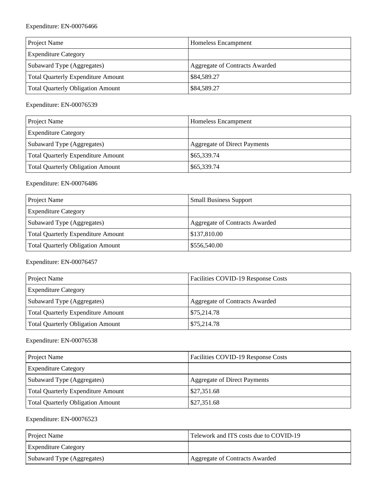| Project Name                              | Homeless Encampment                   |
|-------------------------------------------|---------------------------------------|
| <b>Expenditure Category</b>               |                                       |
| Subaward Type (Aggregates)                | <b>Aggregate of Contracts Awarded</b> |
| <b>Total Quarterly Expenditure Amount</b> | \$84,589.27                           |
| <b>Total Quarterly Obligation Amount</b>  | \$84,589.27                           |

#### Expenditure: EN-00076539

| Project Name                             | Homeless Encampment          |
|------------------------------------------|------------------------------|
| <b>Expenditure Category</b>              |                              |
| Subaward Type (Aggregates)               | Aggregate of Direct Payments |
| Total Quarterly Expenditure Amount       | \$65,339.74                  |
| <b>Total Quarterly Obligation Amount</b> | \$65,339.74                  |

### Expenditure: EN-00076486

| <b>Project Name</b>                       | <b>Small Business Support</b>  |
|-------------------------------------------|--------------------------------|
| <b>Expenditure Category</b>               |                                |
| Subaward Type (Aggregates)                | Aggregate of Contracts Awarded |
| <b>Total Quarterly Expenditure Amount</b> | \$137,810.00                   |
| <b>Total Quarterly Obligation Amount</b>  | \$556,540.00                   |

### Expenditure: EN-00076457

| <b>Project Name</b>                      | Facilities COVID-19 Response Costs |
|------------------------------------------|------------------------------------|
| <b>Expenditure Category</b>              |                                    |
| Subaward Type (Aggregates)               | Aggregate of Contracts Awarded     |
| Total Quarterly Expenditure Amount       | \$75,214.78                        |
| <b>Total Quarterly Obligation Amount</b> | \$75,214.78                        |

### Expenditure: EN-00076538

| Project Name                              | Facilities COVID-19 Response Costs  |
|-------------------------------------------|-------------------------------------|
| <b>Expenditure Category</b>               |                                     |
| Subaward Type (Aggregates)                | <b>Aggregate of Direct Payments</b> |
| <b>Total Quarterly Expenditure Amount</b> | \$27,351.68                         |
| <b>Total Quarterly Obligation Amount</b>  | \$27,351.68                         |

| <b>Project Name</b>         | Telework and ITS costs due to COVID-19 |
|-----------------------------|----------------------------------------|
| <b>Expenditure Category</b> |                                        |
| Subaward Type (Aggregates)  | Aggregate of Contracts Awarded         |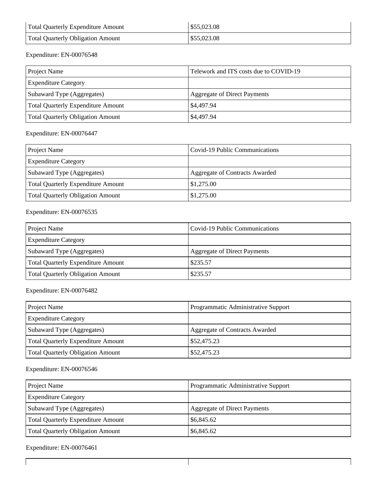| Total Quarterly Expenditure Amount       | \$55,023.08 |
|------------------------------------------|-------------|
| <b>Total Quarterly Obligation Amount</b> | \$55,023.08 |

| Project Name                              | Telework and ITS costs due to COVID-19 |
|-------------------------------------------|----------------------------------------|
| <b>Expenditure Category</b>               |                                        |
| Subaward Type (Aggregates)                | <b>Aggregate of Direct Payments</b>    |
| <b>Total Quarterly Expenditure Amount</b> | \$4,497.94                             |
| <b>Total Quarterly Obligation Amount</b>  | \$4,497.94                             |

### Expenditure: EN-00076447

| <b>Project Name</b>                       | Covid-19 Public Communications |
|-------------------------------------------|--------------------------------|
| <b>Expenditure Category</b>               |                                |
| Subaward Type (Aggregates)                | Aggregate of Contracts Awarded |
| <b>Total Quarterly Expenditure Amount</b> | \$1,275.00                     |
| <b>Total Quarterly Obligation Amount</b>  | \$1,275.00                     |

### Expenditure: EN-00076535

| Project Name                              | Covid-19 Public Communications      |
|-------------------------------------------|-------------------------------------|
| <b>Expenditure Category</b>               |                                     |
| Subaward Type (Aggregates)                | <b>Aggregate of Direct Payments</b> |
| <b>Total Quarterly Expenditure Amount</b> | \$235.57                            |
| <b>Total Quarterly Obligation Amount</b>  | \$235.57                            |

### Expenditure: EN-00076482

| Project Name                              | Programmatic Administrative Support   |
|-------------------------------------------|---------------------------------------|
| <b>Expenditure Category</b>               |                                       |
| Subaward Type (Aggregates)                | <b>Aggregate of Contracts Awarded</b> |
| <b>Total Quarterly Expenditure Amount</b> | \$52,475.23                           |
| <b>Total Quarterly Obligation Amount</b>  | \$52,475.23                           |

#### Expenditure: EN-00076546

| Project Name                             | Programmatic Administrative Support |
|------------------------------------------|-------------------------------------|
| <b>Expenditure Category</b>              |                                     |
| Subaward Type (Aggregates)               | <b>Aggregate of Direct Payments</b> |
| Total Quarterly Expenditure Amount       | \$6,845.62                          |
| <b>Total Quarterly Obligation Amount</b> | \$6,845.62                          |

 $\mathbf{I}$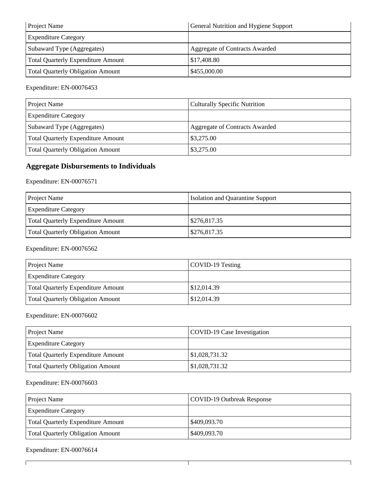| <b>Project Name</b>                      | General Nutrition and Hygiene Support |
|------------------------------------------|---------------------------------------|
| <b>Expenditure Category</b>              |                                       |
| Subaward Type (Aggregates)               | Aggregate of Contracts Awarded        |
| Total Quarterly Expenditure Amount       | \$17,408.80                           |
| <b>Total Quarterly Obligation Amount</b> | \$455,000.00                          |

| Project Name                              | <b>Culturally Specific Nutrition</b> |
|-------------------------------------------|--------------------------------------|
| <b>Expenditure Category</b>               |                                      |
| Subaward Type (Aggregates)                | Aggregate of Contracts Awarded       |
| <b>Total Quarterly Expenditure Amount</b> | \$3,275.00                           |
| <b>Total Quarterly Obligation Amount</b>  | \$3,275.00                           |

### **Aggregate Disbursements to Individuals**

Expenditure: EN-00076571

| <b>Project Name</b>                      | <b>Isolation and Quarantine Support</b> |
|------------------------------------------|-----------------------------------------|
| <b>Expenditure Category</b>              |                                         |
| Total Quarterly Expenditure Amount       | \$276,817.35                            |
| <b>Total Quarterly Obligation Amount</b> | \$276,817.35                            |

### Expenditure: EN-00076562

| <b>Project Name</b>                | COVID-19 Testing |
|------------------------------------|------------------|
| <b>Expenditure Category</b>        |                  |
| Total Quarterly Expenditure Amount | \$12,014.39      |
| Total Quarterly Obligation Amount  | \$12,014.39      |

#### Expenditure: EN-00076602

| <b>Project Name</b>                       | COVID-19 Case Investigation |
|-------------------------------------------|-----------------------------|
| <b>Expenditure Category</b>               |                             |
| <b>Total Quarterly Expenditure Amount</b> | \$1,028,731.32              |
| Total Quarterly Obligation Amount         | \$1,028,731.32              |

### Expenditure: EN-00076603

| <b>Project Name</b>                      | COVID-19 Outbreak Response |
|------------------------------------------|----------------------------|
| <b>Expenditure Category</b>              |                            |
| Total Quarterly Expenditure Amount       | \$409,093.70               |
| <b>Total Quarterly Obligation Amount</b> | \$409,093.70               |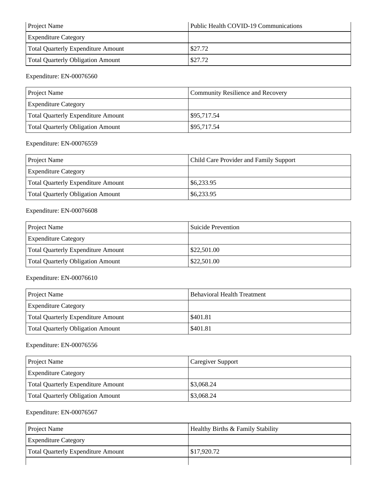| <b>Project Name</b>                       | Public Health COVID-19 Communications |
|-------------------------------------------|---------------------------------------|
| <b>Expenditure Category</b>               |                                       |
| <b>Total Quarterly Expenditure Amount</b> | \$27.72                               |
| <b>Total Quarterly Obligation Amount</b>  | \$27.72                               |

| <b>Project Name</b>                       | Community Resilience and Recovery |
|-------------------------------------------|-----------------------------------|
| <b>Expenditure Category</b>               |                                   |
| <b>Total Quarterly Expenditure Amount</b> | \$95,717.54                       |
| <b>Total Quarterly Obligation Amount</b>  | \$95,717.54                       |

### Expenditure: EN-00076559

| <b>Project Name</b>                       | <b>Child Care Provider and Family Support</b> |
|-------------------------------------------|-----------------------------------------------|
| <b>Expenditure Category</b>               |                                               |
| <b>Total Quarterly Expenditure Amount</b> | \$6,233.95                                    |
| Total Quarterly Obligation Amount         | \$6,233.95                                    |

### Expenditure: EN-00076608

| Project Name                             | Suicide Prevention |
|------------------------------------------|--------------------|
| <b>Expenditure Category</b>              |                    |
| Total Quarterly Expenditure Amount       | \$22,501.00        |
| <b>Total Quarterly Obligation Amount</b> | \$22,501.00        |

#### Expenditure: EN-00076610

| <b>Project Name</b>                | <b>Behavioral Health Treatment</b> |
|------------------------------------|------------------------------------|
| <b>Expenditure Category</b>        |                                    |
| Total Quarterly Expenditure Amount | \$401.81                           |
| Total Quarterly Obligation Amount  | \$401.81                           |

#### Expenditure: EN-00076556

| <b>Project Name</b>                       | <b>Caregiver Support</b> |
|-------------------------------------------|--------------------------|
| <b>Expenditure Category</b>               |                          |
| <b>Total Quarterly Expenditure Amount</b> | \$3,068.24               |
| <b>Total Quarterly Obligation Amount</b>  | \$3,068.24               |

| <b>Project Name</b>                       | Healthy Births & Family Stability |
|-------------------------------------------|-----------------------------------|
| <b>Expenditure Category</b>               |                                   |
| <b>Total Quarterly Expenditure Amount</b> | \$17,920.72                       |
|                                           |                                   |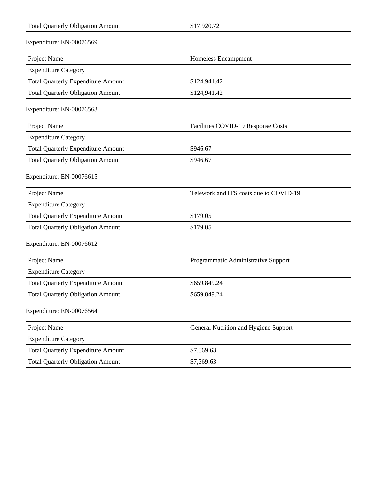| <b>Project Name</b>                       | <b>Homeless Encampment</b> |
|-------------------------------------------|----------------------------|
| <b>Expenditure Category</b>               |                            |
| <b>Total Quarterly Expenditure Amount</b> | \$124,941.42               |
| <b>Total Quarterly Obligation Amount</b>  | \$124,941.42               |

Expenditure: EN-00076563

| <b>Project Name</b>                      | Facilities COVID-19 Response Costs |
|------------------------------------------|------------------------------------|
| <b>Expenditure Category</b>              |                                    |
| Total Quarterly Expenditure Amount       | \$946.67                           |
| <b>Total Quarterly Obligation Amount</b> | \$946.67                           |

### Expenditure: EN-00076615

| <b>Project Name</b>                      | Telework and ITS costs due to COVID-19 |
|------------------------------------------|----------------------------------------|
| <b>Expenditure Category</b>              |                                        |
| Total Quarterly Expenditure Amount       | \$179.05                               |
| <b>Total Quarterly Obligation Amount</b> | \$179.05                               |

#### Expenditure: EN-00076612

| <b>Project Name</b>                      | Programmatic Administrative Support |
|------------------------------------------|-------------------------------------|
| <b>Expenditure Category</b>              |                                     |
| Total Quarterly Expenditure Amount       | \$659,849.24                        |
| <b>Total Quarterly Obligation Amount</b> | \$659,849.24                        |

| <b>Project Name</b>                      | General Nutrition and Hygiene Support |
|------------------------------------------|---------------------------------------|
| <b>Expenditure Category</b>              |                                       |
| Total Quarterly Expenditure Amount       | \$7,369.63                            |
| <b>Total Quarterly Obligation Amount</b> | \$7,369.63                            |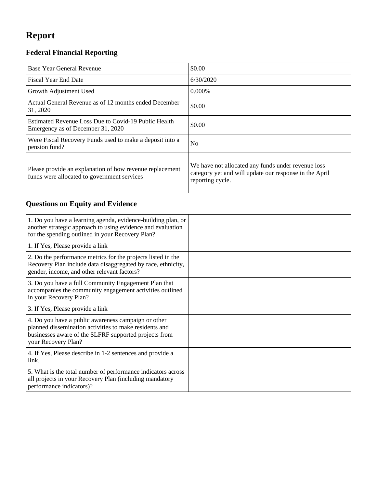# **Report**

## **Federal Financial Reporting**

| Base Year General Revenue                                                                               | \$0.00                                                                                                                           |
|---------------------------------------------------------------------------------------------------------|----------------------------------------------------------------------------------------------------------------------------------|
| <b>Fiscal Year End Date</b>                                                                             | 6/30/2020                                                                                                                        |
| Growth Adjustment Used                                                                                  | 0.000\%                                                                                                                          |
| Actual General Revenue as of 12 months ended December<br>31, 2020                                       | \$0.00                                                                                                                           |
| Estimated Revenue Loss Due to Covid-19 Public Health<br>Emergency as of December 31, 2020               | \$0.00                                                                                                                           |
| Were Fiscal Recovery Funds used to make a deposit into a<br>pension fund?                               | N <sub>o</sub>                                                                                                                   |
| Please provide an explanation of how revenue replacement<br>funds were allocated to government services | We have not allocated any funds under revenue loss<br>category yet and will update our response in the April<br>reporting cycle. |

## **Questions on Equity and Evidence**

| 1. Do you have a learning agenda, evidence-building plan, or<br>another strategic approach to using evidence and evaluation<br>for the spending outlined in your Recovery Plan?               |  |
|-----------------------------------------------------------------------------------------------------------------------------------------------------------------------------------------------|--|
| 1. If Yes, Please provide a link                                                                                                                                                              |  |
| 2. Do the performance metrics for the projects listed in the<br>Recovery Plan include data disaggregated by race, ethnicity,<br>gender, income, and other relevant factors?                   |  |
| 3. Do you have a full Community Engagement Plan that<br>accompanies the community engagement activities outlined<br>in your Recovery Plan?                                                    |  |
| 3. If Yes, Please provide a link                                                                                                                                                              |  |
| 4. Do you have a public awareness campaign or other<br>planned dissemination activities to make residents and<br>businesses aware of the SLFRF supported projects from<br>your Recovery Plan? |  |
| 4. If Yes, Please describe in 1-2 sentences and provide a<br>link.                                                                                                                            |  |
| 5. What is the total number of performance indicators across<br>all projects in your Recovery Plan (including mandatory<br>performance indicators)?                                           |  |